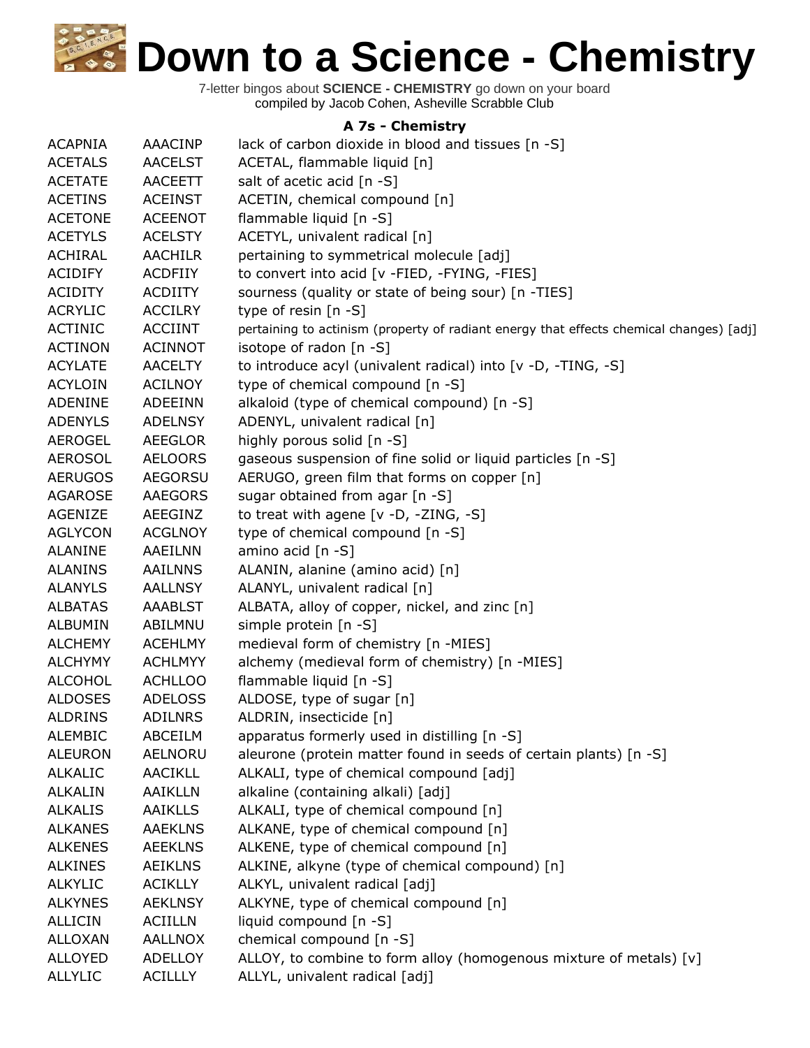7-letter bingos about **SCIENCE - CHEMISTRY** go down on your board compiled by Jacob Cohen, Asheville Scrabble Club

## **A 7s - Chemistry**

| <b>ACAPNIA</b> | <b>AAACINP</b> | lack of carbon dioxide in blood and tissues [n -S]                                      |
|----------------|----------------|-----------------------------------------------------------------------------------------|
| <b>ACETALS</b> | <b>AACELST</b> | ACETAL, flammable liquid [n]                                                            |
| <b>ACETATE</b> | <b>AACEETT</b> | salt of acetic acid [n -S]                                                              |
| <b>ACETINS</b> | <b>ACEINST</b> | ACETIN, chemical compound [n]                                                           |
| <b>ACETONE</b> | <b>ACEENOT</b> | flammable liquid [n -S]                                                                 |
| <b>ACETYLS</b> | <b>ACELSTY</b> | ACETYL, univalent radical [n]                                                           |
| ACHIRAL        | <b>AACHILR</b> | pertaining to symmetrical molecule [adj]                                                |
| <b>ACIDIFY</b> | <b>ACDFIIY</b> | to convert into acid [v -FIED, -FYING, -FIES]                                           |
| <b>ACIDITY</b> | <b>ACDIITY</b> | sourness (quality or state of being sour) [n -TIES]                                     |
| <b>ACRYLIC</b> | <b>ACCILRY</b> | type of resin $[n - S]$                                                                 |
| <b>ACTINIC</b> | <b>ACCIINT</b> | pertaining to actinism (property of radiant energy that effects chemical changes) [adj] |
| <b>ACTINON</b> | <b>ACINNOT</b> | isotope of radon [n -S]                                                                 |
| <b>ACYLATE</b> | <b>AACELTY</b> | to introduce acyl (univalent radical) into [v -D, -TING, -S]                            |
| <b>ACYLOIN</b> | <b>ACILNOY</b> | type of chemical compound [n -S]                                                        |
| <b>ADENINE</b> | <b>ADEEINN</b> | alkaloid (type of chemical compound) [n -S]                                             |
| <b>ADENYLS</b> | <b>ADELNSY</b> | ADENYL, univalent radical [n]                                                           |
| <b>AEROGEL</b> | <b>AEEGLOR</b> | highly porous solid [n -S]                                                              |
| <b>AEROSOL</b> | <b>AELOORS</b> | gaseous suspension of fine solid or liquid particles [n -S]                             |
| <b>AERUGOS</b> | <b>AEGORSU</b> | AERUGO, green film that forms on copper [n]                                             |
| <b>AGAROSE</b> | <b>AAEGORS</b> | sugar obtained from agar [n -S]                                                         |
| AGENIZE        | AEEGINZ        | to treat with agene [v -D, -ZING, -S]                                                   |
| <b>AGLYCON</b> | <b>ACGLNOY</b> | type of chemical compound [n -S]                                                        |
| <b>ALANINE</b> | AAEILNN        | amino acid $[n -S]$                                                                     |
| <b>ALANINS</b> | <b>AAILNNS</b> | ALANIN, alanine (amino acid) [n]                                                        |
| <b>ALANYLS</b> | <b>AALLNSY</b> | ALANYL, univalent radical [n]                                                           |
| <b>ALBATAS</b> | <b>AAABLST</b> | ALBATA, alloy of copper, nickel, and zinc [n]                                           |
| <b>ALBUMIN</b> | ABILMNU        | simple protein [n -S]                                                                   |
| <b>ALCHEMY</b> | <b>ACEHLMY</b> | medieval form of chemistry [n -MIES]                                                    |
| <b>ALCHYMY</b> | <b>ACHLMYY</b> | alchemy (medieval form of chemistry) [n -MIES]                                          |
| <b>ALCOHOL</b> | <b>ACHLLOO</b> | flammable liquid [n -S]                                                                 |
| <b>ALDOSES</b> | <b>ADELOSS</b> | ALDOSE, type of sugar [n]                                                               |
| <b>ALDRINS</b> | <b>ADILNRS</b> | ALDRIN, insecticide [n]                                                                 |
| <b>ALEMBIC</b> | ABCEILM        | apparatus formerly used in distilling [n -S]                                            |
| <b>ALEURON</b> | <b>AELNORU</b> | aleurone (protein matter found in seeds of certain plants) [n -S]                       |
| <b>ALKALIC</b> | AACIKLL        | ALKALI, type of chemical compound [adj]                                                 |
| <b>ALKALIN</b> | AAIKLLN        | alkaline (containing alkali) [adj]                                                      |
| <b>ALKALIS</b> | <b>AAIKLLS</b> | ALKALI, type of chemical compound [n]                                                   |
| <b>ALKANES</b> | <b>AAEKLNS</b> | ALKANE, type of chemical compound [n]                                                   |
| <b>ALKENES</b> | <b>AEEKLNS</b> | ALKENE, type of chemical compound [n]                                                   |
| <b>ALKINES</b> | <b>AEIKLNS</b> | ALKINE, alkyne (type of chemical compound) [n]                                          |
| <b>ALKYLIC</b> | <b>ACIKLLY</b> | ALKYL, univalent radical [adj]                                                          |
| <b>ALKYNES</b> | <b>AEKLNSY</b> | ALKYNE, type of chemical compound [n]                                                   |
| <b>ALLICIN</b> | <b>ACIILLN</b> | liquid compound [n -S]                                                                  |
| <b>ALLOXAN</b> | <b>AALLNOX</b> | chemical compound [n -S]                                                                |
| <b>ALLOYED</b> | <b>ADELLOY</b> | ALLOY, to combine to form alloy (homogenous mixture of metals) [v]                      |
| <b>ALLYLIC</b> | <b>ACILLLY</b> | ALLYL, univalent radical [adj]                                                          |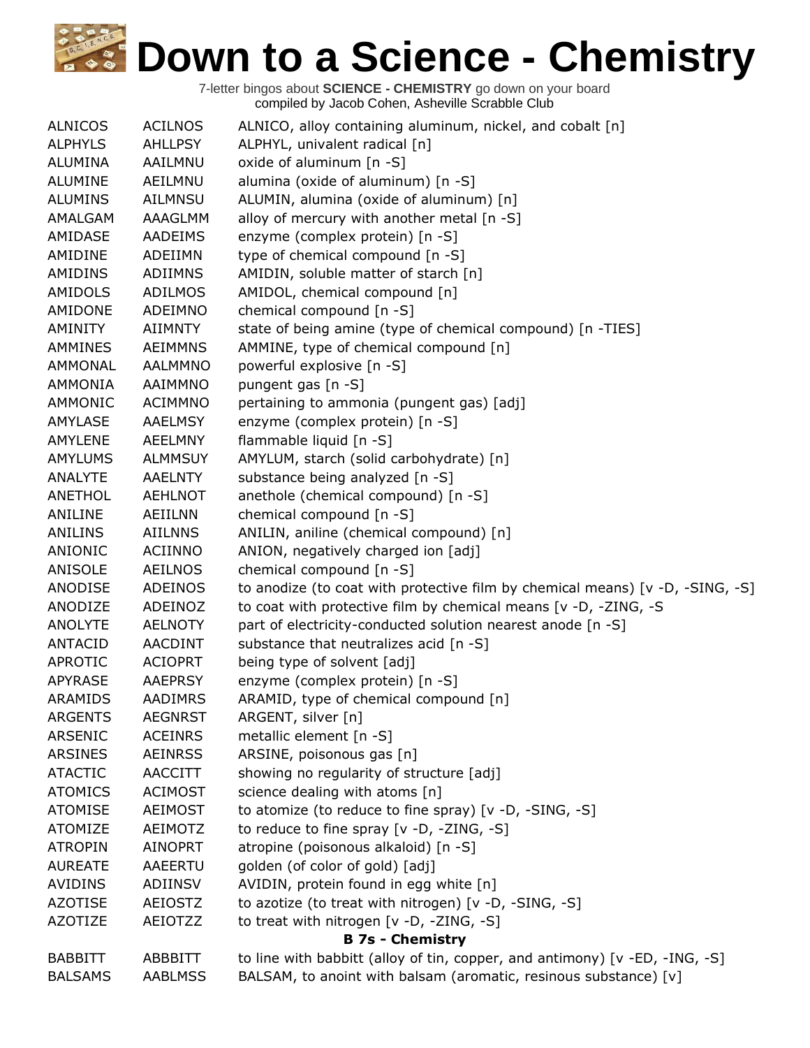| <b>ALNICOS</b> | <b>ACILNOS</b> | ALNICO, alloy containing aluminum, nickel, and cobalt [n]                     |
|----------------|----------------|-------------------------------------------------------------------------------|
| <b>ALPHYLS</b> | <b>AHLLPSY</b> | ALPHYL, univalent radical [n]                                                 |
| <b>ALUMINA</b> | AAILMNU        | oxide of aluminum [n -S]                                                      |
| <b>ALUMINE</b> | AEILMNU        | alumina (oxide of aluminum) [n -S]                                            |
| <b>ALUMINS</b> | <b>AILMNSU</b> | ALUMIN, alumina (oxide of aluminum) [n]                                       |
| AMALGAM        | AAAGLMM        | alloy of mercury with another metal [n -S]                                    |
| AMIDASE        | AADEIMS        | enzyme (complex protein) [n -S]                                               |
| AMIDINE        | ADEIIMN        | type of chemical compound [n -S]                                              |
| AMIDINS        | ADIIMNS        | AMIDIN, soluble matter of starch [n]                                          |
| AMIDOLS        | ADILMOS        | AMIDOL, chemical compound [n]                                                 |
| AMIDONE        | ADEIMNO        | chemical compound [n -S]                                                      |
| AMINITY        | AIIMNTY        | state of being amine (type of chemical compound) [n -TIES]                    |
| AMMINES        | AEIMMNS        | AMMINE, type of chemical compound [n]                                         |
| AMMONAL        | <b>AALMMNO</b> | powerful explosive [n -S]                                                     |
| <b>AMMONIA</b> | AAIMMNO        | pungent gas [n -S]                                                            |
| AMMONIC        | <b>ACIMMNO</b> | pertaining to ammonia (pungent gas) [adj]                                     |
| AMYLASE        | <b>AAELMSY</b> | enzyme (complex protein) [n -S]                                               |
| <b>AMYLENE</b> | <b>AEELMNY</b> | flammable liquid [n -S]                                                       |
| AMYLUMS        | <b>ALMMSUY</b> | AMYLUM, starch (solid carbohydrate) [n]                                       |
| ANALYTE        | <b>AAELNTY</b> | substance being analyzed [n -S]                                               |
| ANETHOL        | <b>AEHLNOT</b> | anethole (chemical compound) [n -S]                                           |
| ANILINE        | AEIILNN        | chemical compound [n -S]                                                      |
| ANILINS        | AIILNNS        | ANILIN, aniline (chemical compound) [n]                                       |
| ANIONIC        | ACIINNO        | ANION, negatively charged ion [adj]                                           |
| ANISOLE        | <b>AEILNOS</b> | chemical compound [n -S]                                                      |
| ANODISE        | ADEINOS        | to anodize (to coat with protective film by chemical means) [v -D, -SING, -S] |
| ANODIZE        | ADEINOZ        | to coat with protective film by chemical means [v -D, -ZING, -S               |
| <b>ANOLYTE</b> | <b>AELNOTY</b> | part of electricity-conducted solution nearest anode [n -S]                   |
| ANTACID        | <b>AACDINT</b> | substance that neutralizes acid [n -S]                                        |
| APROTIC        | <b>ACIOPRT</b> | being type of solvent [adj]                                                   |
| <b>APYRASE</b> | <b>AAEPRSY</b> | enzyme (complex protein) [n -S]                                               |
| <b>ARAMIDS</b> | AADIMRS        | ARAMID, type of chemical compound [n]                                         |
| ARGENTS        | <b>AEGNRST</b> | ARGENT, silver [n]                                                            |
| <b>ARSENIC</b> | <b>ACEINRS</b> | metallic element [n -S]                                                       |
| <b>ARSINES</b> | <b>AEINRSS</b> | ARSINE, poisonous gas [n]                                                     |
| <b>ATACTIC</b> | AACCITT        | showing no regularity of structure [adj]                                      |
| <b>ATOMICS</b> | <b>ACIMOST</b> | science dealing with atoms [n]                                                |
| <b>ATOMISE</b> | <b>AEIMOST</b> | to atomize (to reduce to fine spray) [v -D, -SING, -S]                        |
| <b>ATOMIZE</b> | <b>AEIMOTZ</b> | to reduce to fine spray [v -D, -ZING, -S]                                     |
| <b>ATROPIN</b> | <b>AINOPRT</b> | atropine (poisonous alkaloid) [n -S]                                          |
| <b>AUREATE</b> | AAEERTU        | golden (of color of gold) [adj]                                               |
| AVIDINS        | ADIINSV        | AVIDIN, protein found in egg white [n]                                        |
| <b>AZOTISE</b> | AEIOSTZ        | to azotize (to treat with nitrogen) [v -D, -SING, -S]                         |
| <b>AZOTIZE</b> | AEIOTZZ        | to treat with nitrogen [v -D, -ZING, -S]                                      |
|                |                | <b>B 7s - Chemistry</b>                                                       |
| <b>BABBITT</b> | ABBBITT        | to line with babbitt (alloy of tin, copper, and antimony) [v -ED, -ING, -S]   |
| <b>BALSAMS</b> | <b>AABLMSS</b> | BALSAM, to anoint with balsam (aromatic, resinous substance) [v]              |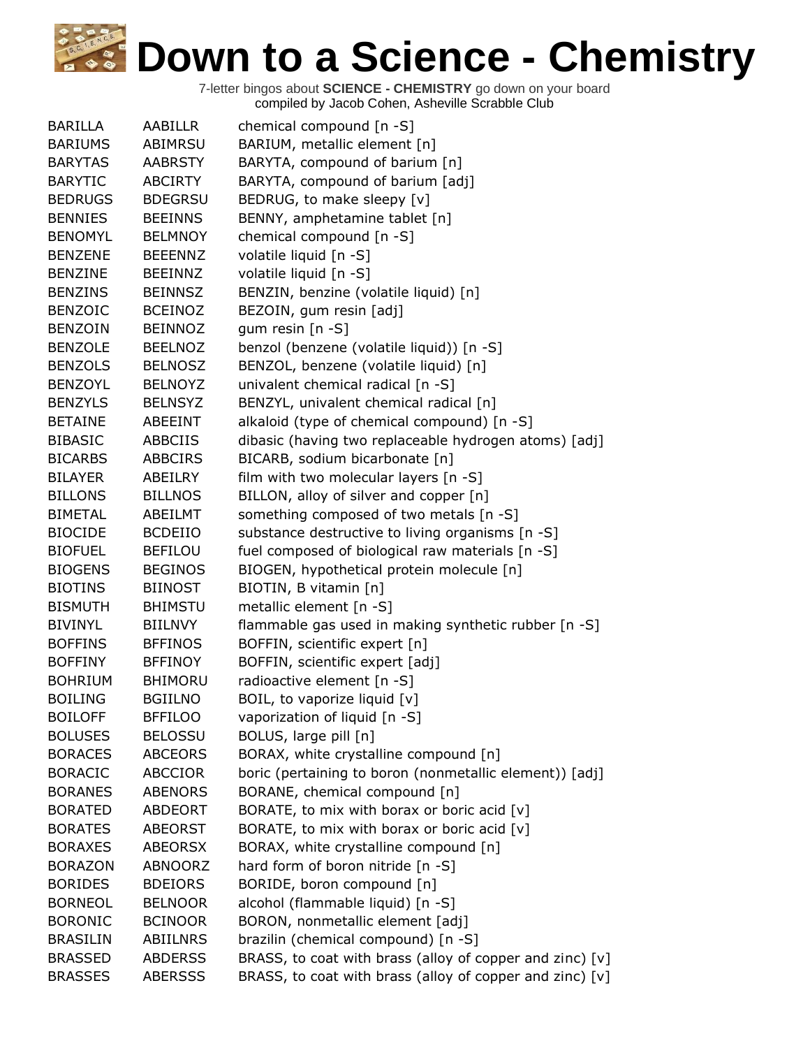| <b>BARILLA</b>  | AABILLR        | chemical compound $[n - S]$                              |
|-----------------|----------------|----------------------------------------------------------|
| <b>BARIUMS</b>  | ABIMRSU        | BARIUM, metallic element [n]                             |
| <b>BARYTAS</b>  | <b>AABRSTY</b> | BARYTA, compound of barium [n]                           |
| <b>BARYTIC</b>  | <b>ABCIRTY</b> | BARYTA, compound of barium [adj]                         |
| <b>BEDRUGS</b>  | <b>BDEGRSU</b> | BEDRUG, to make sleepy [v]                               |
| <b>BENNIES</b>  | <b>BEEINNS</b> | BENNY, amphetamine tablet [n]                            |
| <b>BENOMYL</b>  | <b>BELMNOY</b> | chemical compound [n -S]                                 |
| <b>BENZENE</b>  | <b>BEEENNZ</b> | volatile liquid [n -S]                                   |
| <b>BENZINE</b>  | <b>BEEINNZ</b> | volatile liquid [n -S]                                   |
| <b>BENZINS</b>  | <b>BEINNSZ</b> | BENZIN, benzine (volatile liquid) [n]                    |
| <b>BENZOIC</b>  | <b>BCEINOZ</b> | BEZOIN, gum resin [adj]                                  |
| <b>BENZOIN</b>  | <b>BEINNOZ</b> | gum resin [n -S]                                         |
| <b>BENZOLE</b>  | <b>BEELNOZ</b> | benzol (benzene (volatile liquid)) [n -S]                |
| <b>BENZOLS</b>  | <b>BELNOSZ</b> | BENZOL, benzene (volatile liquid) [n]                    |
| <b>BENZOYL</b>  | <b>BELNOYZ</b> | univalent chemical radical [n -S]                        |
| <b>BENZYLS</b>  | <b>BELNSYZ</b> | BENZYL, univalent chemical radical [n]                   |
| <b>BETAINE</b>  | ABEEINT        | alkaloid (type of chemical compound) [n -S]              |
| <b>BIBASIC</b>  | <b>ABBCIIS</b> | dibasic (having two replaceable hydrogen atoms) [adj]    |
| <b>BICARBS</b>  | <b>ABBCIRS</b> | BICARB, sodium bicarbonate [n]                           |
| <b>BILAYER</b>  | ABEILRY        | film with two molecular layers $[n - S]$                 |
| <b>BILLONS</b>  | <b>BILLNOS</b> | BILLON, alloy of silver and copper [n]                   |
| <b>BIMETAL</b>  | ABEILMT        | something composed of two metals [n -S]                  |
| <b>BIOCIDE</b>  | <b>BCDEIIO</b> | substance destructive to living organisms [n -S]         |
| <b>BIOFUEL</b>  | <b>BEFILOU</b> | fuel composed of biological raw materials [n -S]         |
| <b>BIOGENS</b>  | <b>BEGINOS</b> | BIOGEN, hypothetical protein molecule [n]                |
| <b>BIOTINS</b>  | <b>BIINOST</b> | BIOTIN, B vitamin [n]                                    |
| <b>BISMUTH</b>  | <b>BHIMSTU</b> | metallic element [n -S]                                  |
| <b>BIVINYL</b>  | <b>BIILNVY</b> | flammable gas used in making synthetic rubber [n -S]     |
| <b>BOFFINS</b>  | <b>BFFINOS</b> | BOFFIN, scientific expert [n]                            |
| <b>BOFFINY</b>  | <b>BFFINOY</b> | BOFFIN, scientific expert [adj]                          |
| <b>BOHRIUM</b>  | <b>BHIMORU</b> | radioactive element [n -S]                               |
| <b>BOILING</b>  | <b>BGIILNO</b> | BOIL, to vaporize liquid [v]                             |
| <b>BOILOFF</b>  | <b>BFFILOO</b> | vaporization of liquid [n -S]                            |
| <b>BOLUSES</b>  | <b>BELOSSU</b> | BOLUS, large pill [n]                                    |
| <b>BORACES</b>  | <b>ABCEORS</b> | BORAX, white crystalline compound [n]                    |
| <b>BORACIC</b>  | <b>ABCCIOR</b> | boric (pertaining to boron (nonmetallic element)) [adj]  |
| <b>BORANES</b>  | <b>ABENORS</b> | BORANE, chemical compound [n]                            |
| <b>BORATED</b>  | <b>ABDEORT</b> | BORATE, to mix with borax or boric acid [v]              |
| <b>BORATES</b>  | <b>ABEORST</b> | BORATE, to mix with borax or boric acid [v]              |
| <b>BORAXES</b>  | <b>ABEORSX</b> | BORAX, white crystalline compound [n]                    |
| <b>BORAZON</b>  | ABNOORZ        | hard form of boron nitride [n -S]                        |
| <b>BORIDES</b>  | <b>BDEIORS</b> | BORIDE, boron compound [n]                               |
| <b>BORNEOL</b>  | <b>BELNOOR</b> | alcohol (flammable liquid) [n -S]                        |
| <b>BORONIC</b>  | <b>BCINOOR</b> | BORON, nonmetallic element [adj]                         |
| <b>BRASILIN</b> | ABIILNRS       | brazilin (chemical compound) [n -S]                      |
| <b>BRASSED</b>  | <b>ABDERSS</b> | BRASS, to coat with brass (alloy of copper and zinc) [v] |
| <b>BRASSES</b>  | <b>ABERSSS</b> | BRASS, to coat with brass (alloy of copper and zinc) [v] |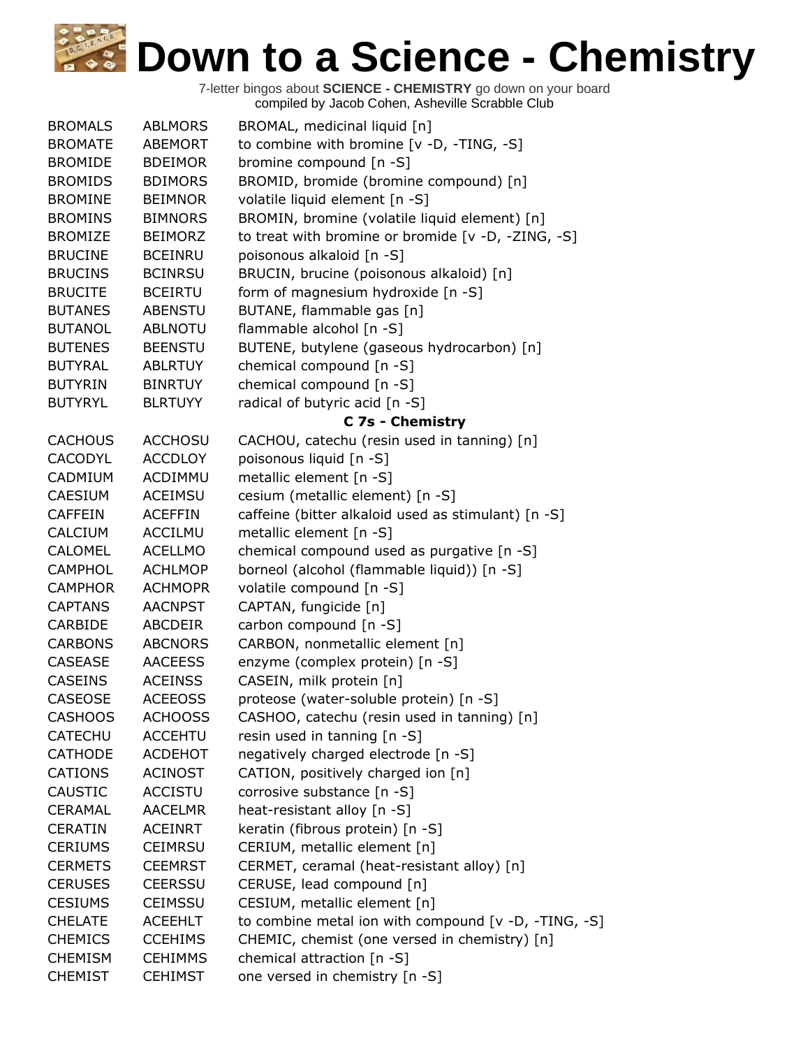| <b>BROMALS</b> | <b>ABLMORS</b> | BROMAL, medicinal liquid [n]                         |
|----------------|----------------|------------------------------------------------------|
| <b>BROMATE</b> | <b>ABEMORT</b> | to combine with bromine [v -D, -TING, -S]            |
| <b>BROMIDE</b> | <b>BDEIMOR</b> | bromine compound [n -S]                              |
| <b>BROMIDS</b> | <b>BDIMORS</b> | BROMID, bromide (bromine compound) [n]               |
| <b>BROMINE</b> | <b>BEIMNOR</b> | volatile liquid element [n -S]                       |
| <b>BROMINS</b> | <b>BIMNORS</b> | BROMIN, bromine (volatile liquid element) [n]        |
| <b>BROMIZE</b> | <b>BEIMORZ</b> | to treat with bromine or bromide [v -D, -ZING, -S]   |
| <b>BRUCINE</b> | <b>BCEINRU</b> | poisonous alkaloid [n -S]                            |
| <b>BRUCINS</b> | <b>BCINRSU</b> | BRUCIN, brucine (poisonous alkaloid) [n]             |
| <b>BRUCITE</b> | <b>BCEIRTU</b> | form of magnesium hydroxide [n -S]                   |
| <b>BUTANES</b> | <b>ABENSTU</b> | BUTANE, flammable gas [n]                            |
| <b>BUTANOL</b> | <b>ABLNOTU</b> | flammable alcohol [n -S]                             |
| <b>BUTENES</b> | <b>BEENSTU</b> | BUTENE, butylene (gaseous hydrocarbon) [n]           |
| <b>BUTYRAL</b> | <b>ABLRTUY</b> | chemical compound [n -S]                             |
| <b>BUTYRIN</b> | <b>BINRTUY</b> | chemical compound [n -S]                             |
| <b>BUTYRYL</b> | <b>BLRTUYY</b> | radical of butyric acid [n -S]                       |
|                |                | C 7s - Chemistry                                     |
| <b>CACHOUS</b> | <b>ACCHOSU</b> | CACHOU, catechu (resin used in tanning) [n]          |
| CACODYL        | <b>ACCDLOY</b> | poisonous liquid [n -S]                              |
| CADMIUM        | ACDIMMU        | metallic element [n -S]                              |
| <b>CAESIUM</b> | <b>ACEIMSU</b> | cesium (metallic element) [n -S]                     |
| <b>CAFFEIN</b> | <b>ACEFFIN</b> | caffeine (bitter alkaloid used as stimulant) [n -S]  |
| <b>CALCIUM</b> | <b>ACCILMU</b> | metallic element [n -S]                              |
| <b>CALOMEL</b> | <b>ACELLMO</b> | chemical compound used as purgative [n -S]           |
| <b>CAMPHOL</b> | <b>ACHLMOP</b> | borneol (alcohol (flammable liquid)) [n -S]          |
| <b>CAMPHOR</b> | <b>ACHMOPR</b> | volatile compound [n -S]                             |
| <b>CAPTANS</b> | <b>AACNPST</b> | CAPTAN, fungicide [n]                                |
| CARBIDE        | ABCDEIR        | carbon compound [n -S]                               |
| <b>CARBONS</b> | <b>ABCNORS</b> | CARBON, nonmetallic element [n]                      |
| <b>CASEASE</b> | <b>AACEESS</b> | enzyme (complex protein) [n -S]                      |
| <b>CASEINS</b> | <b>ACEINSS</b> | CASEIN, milk protein [n]                             |
| <b>CASEOSE</b> | <b>ACEEOSS</b> | proteose (water-soluble protein) [n -S]              |
| <b>CASHOOS</b> | <b>ACHOOSS</b> | CASHOO, catechu (resin used in tanning) [n]          |
| <b>CATECHU</b> | <b>ACCEHTU</b> | resin used in tanning [n -S]                         |
| <b>CATHODE</b> | ACDEHOT        | negatively charged electrode [n -S]                  |
| <b>CATIONS</b> | <b>ACINOST</b> | CATION, positively charged ion [n]                   |
| <b>CAUSTIC</b> | <b>ACCISTU</b> | corrosive substance [n -S]                           |
| <b>CERAMAL</b> | <b>AACELMR</b> | heat-resistant alloy [n -S]                          |
| <b>CERATIN</b> | <b>ACEINRT</b> | keratin (fibrous protein) [n -S]                     |
| <b>CERIUMS</b> | <b>CEIMRSU</b> | CERIUM, metallic element [n]                         |
| <b>CERMETS</b> | <b>CEEMRST</b> | CERMET, ceramal (heat-resistant alloy) [n]           |
| <b>CERUSES</b> | <b>CEERSSU</b> | CERUSE, lead compound [n]                            |
| <b>CESIUMS</b> | <b>CEIMSSU</b> | CESIUM, metallic element [n]                         |
| <b>CHELATE</b> | <b>ACEEHLT</b> | to combine metal ion with compound [v -D, -TING, -S] |
| <b>CHEMICS</b> | <b>CCEHIMS</b> | CHEMIC, chemist (one versed in chemistry) [n]        |
| <b>CHEMISM</b> | <b>CEHIMMS</b> | chemical attraction [n -S]                           |
| <b>CHEMIST</b> | <b>CEHIMST</b> | one versed in chemistry [n -S]                       |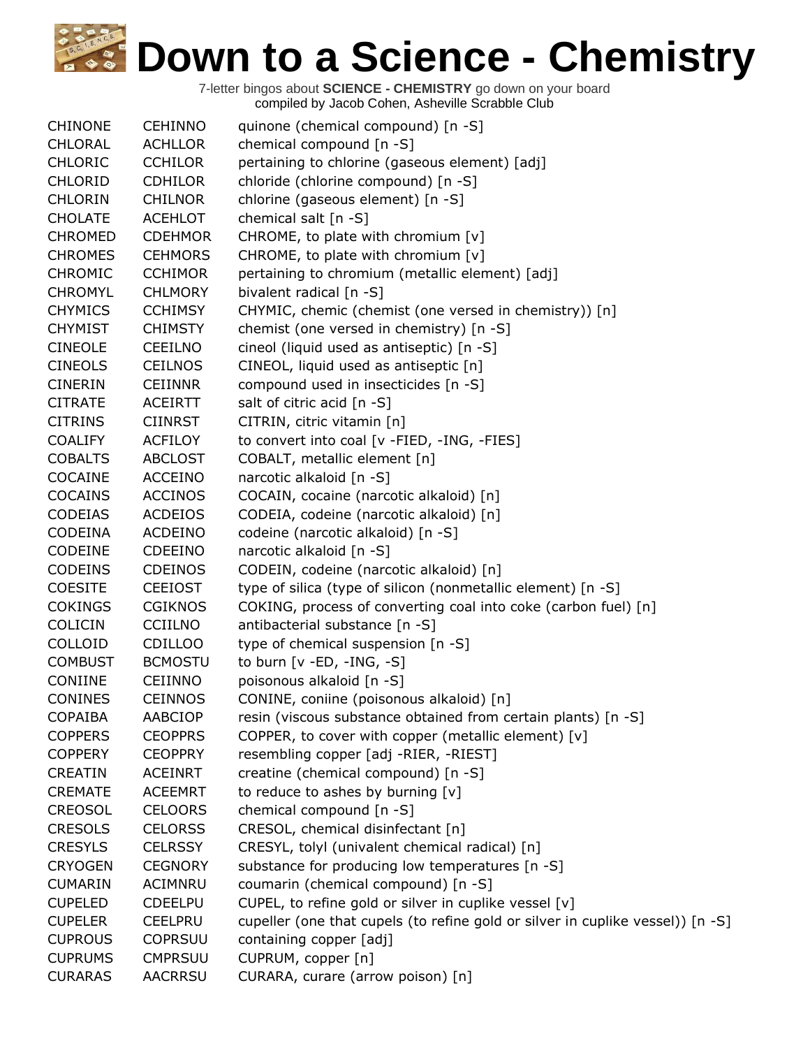| <b>CHINONE</b> | <b>CEHINNO</b> | quinone (chemical compound) [n -S]                                             |
|----------------|----------------|--------------------------------------------------------------------------------|
| CHLORAL        | <b>ACHLLOR</b> | chemical compound [n -S]                                                       |
| <b>CHLORIC</b> | <b>CCHILOR</b> | pertaining to chlorine (gaseous element) [adj]                                 |
| <b>CHLORID</b> | <b>CDHILOR</b> | chloride (chlorine compound) [n -S]                                            |
| <b>CHLORIN</b> | <b>CHILNOR</b> | chlorine (gaseous element) [n -S]                                              |
| <b>CHOLATE</b> | <b>ACEHLOT</b> | chemical salt [n -S]                                                           |
| <b>CHROMED</b> | <b>CDEHMOR</b> | CHROME, to plate with chromium [v]                                             |
| <b>CHROMES</b> | <b>CEHMORS</b> | CHROME, to plate with chromium [v]                                             |
| <b>CHROMIC</b> | <b>CCHIMOR</b> | pertaining to chromium (metallic element) [adj]                                |
| <b>CHROMYL</b> | <b>CHLMORY</b> | bivalent radical [n -S]                                                        |
| <b>CHYMICS</b> | <b>CCHIMSY</b> | CHYMIC, chemic (chemist (one versed in chemistry)) [n]                         |
| <b>CHYMIST</b> | <b>CHIMSTY</b> | chemist (one versed in chemistry) [n -S]                                       |
| <b>CINEOLE</b> | <b>CEEILNO</b> | cineol (liquid used as antiseptic) [n -S]                                      |
| <b>CINEOLS</b> | <b>CEILNOS</b> | CINEOL, liquid used as antiseptic [n]                                          |
| <b>CINERIN</b> | <b>CEIINNR</b> | compound used in insecticides [n -S]                                           |
| <b>CITRATE</b> | <b>ACEIRTT</b> | salt of citric acid [n -S]                                                     |
| <b>CITRINS</b> | <b>CIINRST</b> | CITRIN, citric vitamin [n]                                                     |
| <b>COALIFY</b> | <b>ACFILOY</b> | to convert into coal [v -FIED, -ING, -FIES]                                    |
| <b>COBALTS</b> | <b>ABCLOST</b> | COBALT, metallic element [n]                                                   |
| COCAINE        | <b>ACCEINO</b> | narcotic alkaloid [n -S]                                                       |
| <b>COCAINS</b> | <b>ACCINOS</b> | COCAIN, cocaine (narcotic alkaloid) [n]                                        |
| <b>CODEIAS</b> | <b>ACDEIOS</b> | CODEIA, codeine (narcotic alkaloid) [n]                                        |
| CODEINA        | <b>ACDEINO</b> | codeine (narcotic alkaloid) [n -S]                                             |
| <b>CODEINE</b> | <b>CDEEINO</b> | narcotic alkaloid [n -S]                                                       |
| <b>CODEINS</b> | <b>CDEINOS</b> | CODEIN, codeine (narcotic alkaloid) [n]                                        |
| <b>COESITE</b> | <b>CEEIOST</b> | type of silica (type of silicon (nonmetallic element) [n -S]                   |
| <b>COKINGS</b> | <b>CGIKNOS</b> | COKING, process of converting coal into coke (carbon fuel) [n]                 |
| <b>COLICIN</b> | <b>CCIILNO</b> | antibacterial substance [n -S]                                                 |
| COLLOID        | <b>CDILLOO</b> | type of chemical suspension [n -S]                                             |
| <b>COMBUST</b> | <b>BCMOSTU</b> | to burn $[v - ED, -ING, -S]$                                                   |
| CONIINE        | <b>CEIINNO</b> | poisonous alkaloid [n -S]                                                      |
| <b>CONINES</b> | <b>CEINNOS</b> | CONINE, coniine (poisonous alkaloid) [n]                                       |
| <b>COPAIBA</b> | <b>AABCIOP</b> | resin (viscous substance obtained from certain plants) [n -S]                  |
| <b>COPPERS</b> | <b>CEOPPRS</b> | COPPER, to cover with copper (metallic element) [v]                            |
| <b>COPPERY</b> | <b>CEOPPRY</b> | resembling copper [adj -RIER, -RIEST]                                          |
| <b>CREATIN</b> | <b>ACEINRT</b> | creatine (chemical compound) [n -S]                                            |
| <b>CREMATE</b> | <b>ACEEMRT</b> | to reduce to ashes by burning [v]                                              |
| <b>CREOSOL</b> | <b>CELOORS</b> | chemical compound [n -S]                                                       |
| <b>CRESOLS</b> | <b>CELORSS</b> | CRESOL, chemical disinfectant [n]                                              |
| <b>CRESYLS</b> | <b>CELRSSY</b> | CRESYL, tolyl (univalent chemical radical) [n]                                 |
| <b>CRYOGEN</b> | <b>CEGNORY</b> | substance for producing low temperatures [n -S]                                |
| <b>CUMARIN</b> | <b>ACIMNRU</b> | coumarin (chemical compound) [n -S]                                            |
| <b>CUPELED</b> | <b>CDEELPU</b> | CUPEL, to refine gold or silver in cuplike vessel [v]                          |
| <b>CUPELER</b> | <b>CEELPRU</b> | cupeller (one that cupels (to refine gold or silver in cuplike vessel)) [n -S] |
| <b>CUPROUS</b> | <b>COPRSUU</b> | containing copper [adj]                                                        |
| <b>CUPRUMS</b> | <b>CMPRSUU</b> | CUPRUM, copper [n]                                                             |
| <b>CURARAS</b> | <b>AACRRSU</b> | CURARA, curare (arrow poison) [n]                                              |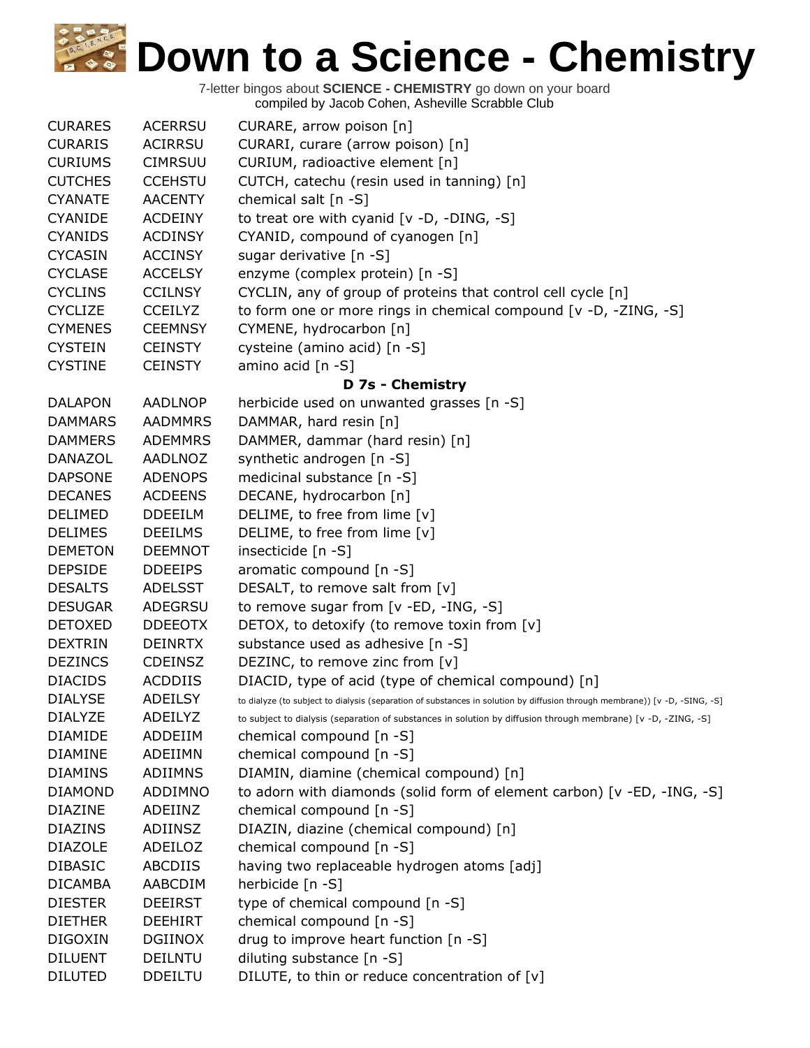| <b>CURARES</b> | <b>ACERRSU</b> | CURARE, arrow poison [n]                                                                                                   |
|----------------|----------------|----------------------------------------------------------------------------------------------------------------------------|
| <b>CURARIS</b> | ACIRRSU        | CURARI, curare (arrow poison) [n]                                                                                          |
| <b>CURIUMS</b> | <b>CIMRSUU</b> | CURIUM, radioactive element [n]                                                                                            |
| <b>CUTCHES</b> | <b>CCEHSTU</b> | CUTCH, catechu (resin used in tanning) [n]                                                                                 |
| <b>CYANATE</b> | <b>AACENTY</b> | chemical salt [n -S]                                                                                                       |
| <b>CYANIDE</b> | <b>ACDEINY</b> | to treat ore with cyanid $[v -D, -DING, -S]$                                                                               |
| <b>CYANIDS</b> | <b>ACDINSY</b> | CYANID, compound of cyanogen [n]                                                                                           |
| <b>CYCASIN</b> | <b>ACCINSY</b> | sugar derivative [n -S]                                                                                                    |
| <b>CYCLASE</b> | <b>ACCELSY</b> | enzyme (complex protein) [n -S]                                                                                            |
| <b>CYCLINS</b> | <b>CCILNSY</b> | CYCLIN, any of group of proteins that control cell cycle [n]                                                               |
| <b>CYCLIZE</b> | <b>CCEILYZ</b> | to form one or more rings in chemical compound $[v -D, -ZING, -S]$                                                         |
| <b>CYMENES</b> | <b>CEEMNSY</b> | CYMENE, hydrocarbon [n]                                                                                                    |
| <b>CYSTEIN</b> | <b>CEINSTY</b> | cysteine (amino acid) [n -S]                                                                                               |
| <b>CYSTINE</b> | <b>CEINSTY</b> | amino acid [n -S]                                                                                                          |
|                |                | D 7s - Chemistry                                                                                                           |
| <b>DALAPON</b> | <b>AADLNOP</b> | herbicide used on unwanted grasses [n -S]                                                                                  |
| <b>DAMMARS</b> | <b>AADMMRS</b> | DAMMAR, hard resin [n]                                                                                                     |
| <b>DAMMERS</b> | <b>ADEMMRS</b> | DAMMER, dammar (hard resin) [n]                                                                                            |
| <b>DANAZOL</b> | <b>AADLNOZ</b> | synthetic androgen [n -S]                                                                                                  |
| <b>DAPSONE</b> | <b>ADENOPS</b> | medicinal substance [n -S]                                                                                                 |
| <b>DECANES</b> | <b>ACDEENS</b> | DECANE, hydrocarbon [n]                                                                                                    |
| <b>DELIMED</b> | <b>DDEEILM</b> | DELIME, to free from lime [v]                                                                                              |
| <b>DELIMES</b> | <b>DEEILMS</b> | DELIME, to free from lime [v]                                                                                              |
| <b>DEMETON</b> | <b>DEEMNOT</b> | insecticide [n -S]                                                                                                         |
| <b>DEPSIDE</b> | <b>DDEEIPS</b> | aromatic compound [n -S]                                                                                                   |
| <b>DESALTS</b> | <b>ADELSST</b> | DESALT, to remove salt from [v]                                                                                            |
| <b>DESUGAR</b> | ADEGRSU        | to remove sugar from $[v - ED, -ING, -S]$                                                                                  |
| <b>DETOXED</b> | <b>DDEEOTX</b> | DETOX, to detoxify (to remove toxin from [v]                                                                               |
| <b>DEXTRIN</b> | <b>DEINRTX</b> | substance used as adhesive [n -S]                                                                                          |
| <b>DEZINCS</b> | <b>CDEINSZ</b> | DEZINC, to remove zinc from [v]                                                                                            |
| <b>DIACIDS</b> | <b>ACDDIIS</b> | DIACID, type of acid (type of chemical compound) [n]                                                                       |
| <b>DIALYSE</b> | <b>ADEILSY</b> | to dialyze (to subject to dialysis (separation of substances in solution by diffusion through membrane)) [v -D, -SING, -S] |
| <b>DIALYZE</b> | ADEILYZ        | to subject to dialysis (separation of substances in solution by diffusion through membrane) [v -D, -ZING, -S]              |
| <b>DIAMIDE</b> | ADDEIIM        | chemical compound [n -S]                                                                                                   |
| <b>DIAMINE</b> | ADEIIMN        | chemical compound [n -S]                                                                                                   |
| <b>DIAMINS</b> | ADIIMNS        | DIAMIN, diamine (chemical compound) [n]                                                                                    |
| <b>DIAMOND</b> | ADDIMNO        | to adorn with diamonds (solid form of element carbon) [v -ED, -ING, -S]                                                    |
| <b>DIAZINE</b> | ADEIINZ        | chemical compound [n -S]                                                                                                   |
| <b>DIAZINS</b> | ADIINSZ        | DIAZIN, diazine (chemical compound) [n]                                                                                    |
| <b>DIAZOLE</b> | ADEILOZ        | chemical compound [n -S]                                                                                                   |
| <b>DIBASIC</b> | ABCDIIS        | having two replaceable hydrogen atoms [adj]                                                                                |
| <b>DICAMBA</b> | AABCDIM        | herbicide [n -S]                                                                                                           |
| <b>DIESTER</b> | <b>DEEIRST</b> | type of chemical compound [n -S]                                                                                           |
| <b>DIETHER</b> | <b>DEEHIRT</b> | chemical compound [n -S]                                                                                                   |
| <b>DIGOXIN</b> | <b>DGIINOX</b> | drug to improve heart function [n -S]                                                                                      |
| <b>DILUENT</b> | <b>DEILNTU</b> | diluting substance [n -S]                                                                                                  |
| <b>DILUTED</b> | <b>DDEILTU</b> | DILUTE, to thin or reduce concentration of [v]                                                                             |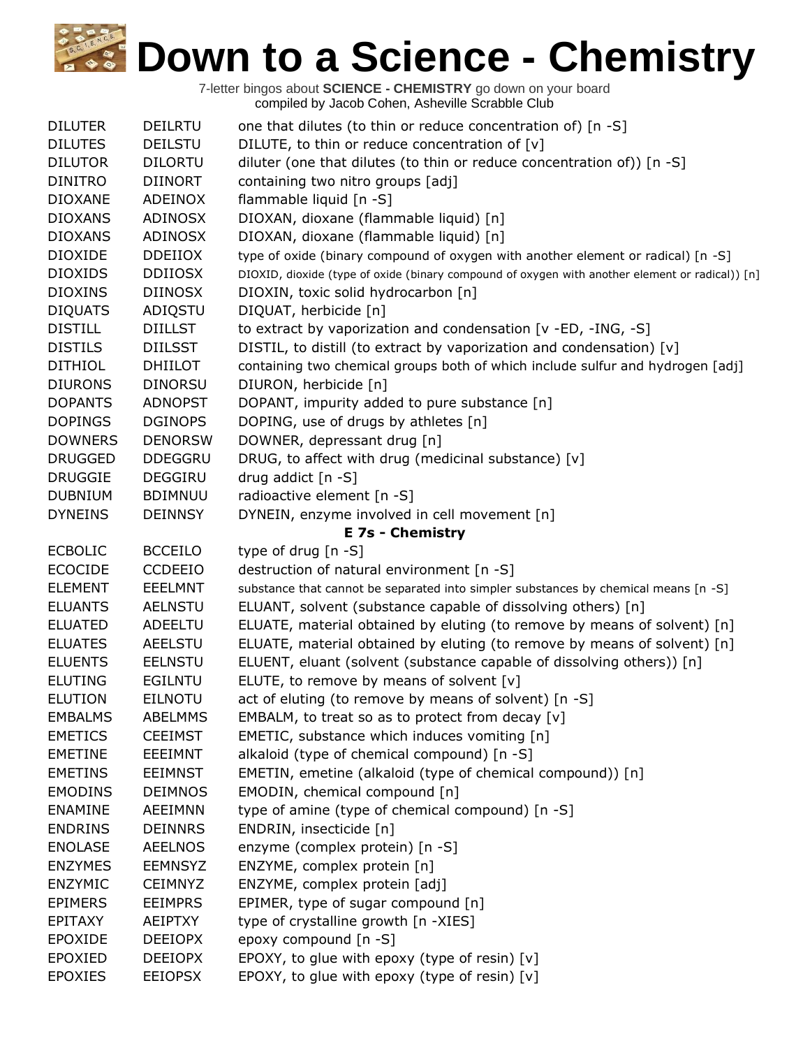| <b>DILUTER</b> | <b>DEILRTU</b> | one that dilutes (to thin or reduce concentration of) [n -S]                                    |
|----------------|----------------|-------------------------------------------------------------------------------------------------|
| <b>DILUTES</b> | <b>DEILSTU</b> | DILUTE, to thin or reduce concentration of [v]                                                  |
| <b>DILUTOR</b> | <b>DILORTU</b> | diluter (one that dilutes (to thin or reduce concentration of)) [n -S]                          |
| <b>DINITRO</b> | <b>DIINORT</b> | containing two nitro groups [adj]                                                               |
| <b>DIOXANE</b> | ADEINOX        | flammable liquid [n -S]                                                                         |
| <b>DIOXANS</b> | <b>ADINOSX</b> | DIOXAN, dioxane (flammable liquid) [n]                                                          |
| <b>DIOXANS</b> | <b>ADINOSX</b> | DIOXAN, dioxane (flammable liquid) [n]                                                          |
| <b>DIOXIDE</b> | <b>DDEIIOX</b> | type of oxide (binary compound of oxygen with another element or radical) [n -S]                |
| <b>DIOXIDS</b> | <b>DDIIOSX</b> | DIOXID, dioxide (type of oxide (binary compound of oxygen with another element or radical)) [n] |
| <b>DIOXINS</b> | <b>DIINOSX</b> | DIOXIN, toxic solid hydrocarbon [n]                                                             |
| <b>DIQUATS</b> | ADIQSTU        | DIQUAT, herbicide [n]                                                                           |
| <b>DISTILL</b> | <b>DIILLST</b> | to extract by vaporization and condensation [v -ED, -ING, -S]                                   |
| <b>DISTILS</b> | <b>DIILSST</b> | DISTIL, to distill (to extract by vaporization and condensation) [v]                            |
| <b>DITHIOL</b> | <b>DHIILOT</b> | containing two chemical groups both of which include sulfur and hydrogen [adj]                  |
| <b>DIURONS</b> | <b>DINORSU</b> | DIURON, herbicide [n]                                                                           |
| <b>DOPANTS</b> | <b>ADNOPST</b> | DOPANT, impurity added to pure substance [n]                                                    |
| <b>DOPINGS</b> | <b>DGINOPS</b> | DOPING, use of drugs by athletes [n]                                                            |
| <b>DOWNERS</b> | <b>DENORSW</b> | DOWNER, depressant drug [n]                                                                     |
| <b>DRUGGED</b> | <b>DDEGGRU</b> | DRUG, to affect with drug (medicinal substance) [v]                                             |
| <b>DRUGGIE</b> | DEGGIRU        | drug addict $[n -S]$                                                                            |
| <b>DUBNIUM</b> | <b>BDIMNUU</b> | radioactive element [n -S]                                                                      |
| <b>DYNEINS</b> | <b>DEINNSY</b> | DYNEIN, enzyme involved in cell movement [n]                                                    |
|                |                | <b>E 7s - Chemistry</b>                                                                         |
| <b>ECBOLIC</b> | <b>BCCEILO</b> | type of drug $[n - S]$                                                                          |
| <b>ECOCIDE</b> | <b>CCDEEIO</b> | destruction of natural environment [n -S]                                                       |
|                |                |                                                                                                 |
| <b>ELEMENT</b> | EEELMNT        | substance that cannot be separated into simpler substances by chemical means [n -S]             |
| <b>ELUANTS</b> | <b>AELNSTU</b> | ELUANT, solvent (substance capable of dissolving others) [n]                                    |
| <b>ELUATED</b> | <b>ADEELTU</b> | ELUATE, material obtained by eluting (to remove by means of solvent) [n]                        |
| <b>ELUATES</b> | <b>AEELSTU</b> | ELUATE, material obtained by eluting (to remove by means of solvent) [n]                        |
| <b>ELUENTS</b> | <b>EELNSTU</b> | ELUENT, eluant (solvent (substance capable of dissolving others)) [n]                           |
| <b>ELUTING</b> | <b>EGILNTU</b> | ELUTE, to remove by means of solvent [v]                                                        |
| <b>ELUTION</b> | <b>EILNOTU</b> | act of eluting (to remove by means of solvent) [n -S]                                           |
| <b>EMBALMS</b> | <b>ABELMMS</b> | EMBALM, to treat so as to protect from decay $[v]$                                              |
| <b>EMETICS</b> | <b>CEEIMST</b> | EMETIC, substance which induces vomiting [n]                                                    |
| <b>EMETINE</b> | EEEIMNT        | alkaloid (type of chemical compound) [n -S]                                                     |
| <b>EMETINS</b> | <b>EEIMNST</b> | EMETIN, emetine (alkaloid (type of chemical compound)) [n]                                      |
| <b>EMODINS</b> | <b>DEIMNOS</b> | EMODIN, chemical compound [n]                                                                   |
| <b>ENAMINE</b> | <b>AEEIMNN</b> | type of amine (type of chemical compound) [n -S]                                                |
| <b>ENDRINS</b> | <b>DEINNRS</b> | ENDRIN, insecticide [n]                                                                         |
| <b>ENOLASE</b> | <b>AEELNOS</b> | enzyme (complex protein) [n -S]                                                                 |
| <b>ENZYMES</b> | <b>EEMNSYZ</b> | ENZYME, complex protein [n]                                                                     |
| <b>ENZYMIC</b> | <b>CEIMNYZ</b> | ENZYME, complex protein [adj]                                                                   |
| <b>EPIMERS</b> | <b>EEIMPRS</b> | EPIMER, type of sugar compound [n]                                                              |
| <b>EPITAXY</b> | AEIPTXY        | type of crystalline growth [n -XIES]                                                            |
| <b>EPOXIDE</b> | <b>DEEIOPX</b> | epoxy compound [n -S]                                                                           |
| <b>EPOXIED</b> | <b>DEEIOPX</b> | EPOXY, to glue with epoxy (type of resin) [v]                                                   |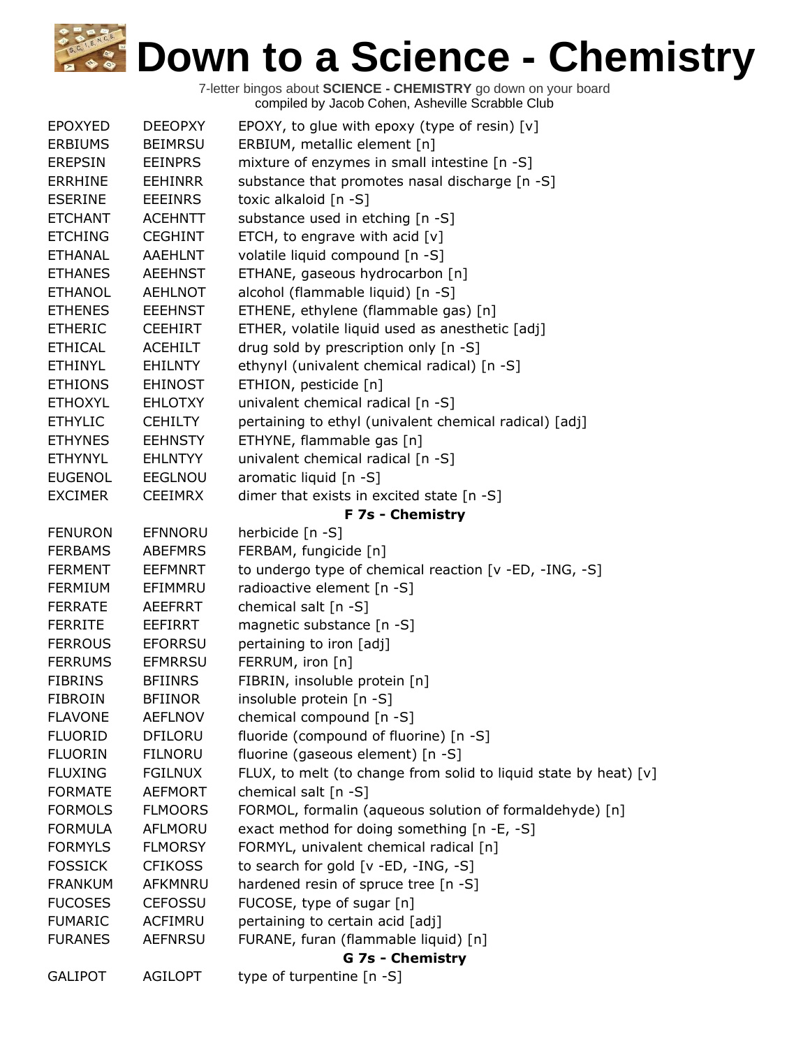| <b>EPOXYED</b> | <b>DEEOPXY</b> | EPOXY, to glue with epoxy (type of resin) $[v]$                  |
|----------------|----------------|------------------------------------------------------------------|
| <b>ERBIUMS</b> | <b>BEIMRSU</b> | ERBIUM, metallic element [n]                                     |
| <b>EREPSIN</b> | <b>EEINPRS</b> | mixture of enzymes in small intestine [n -S]                     |
| <b>ERRHINE</b> | <b>EEHINRR</b> | substance that promotes nasal discharge [n -S]                   |
| <b>ESERINE</b> | <b>EEEINRS</b> | toxic alkaloid [n -S]                                            |
| <b>ETCHANT</b> | <b>ACEHNTT</b> | substance used in etching [n -S]                                 |
| <b>ETCHING</b> | <b>CEGHINT</b> | ETCH, to engrave with acid [v]                                   |
| <b>ETHANAL</b> | <b>AAEHLNT</b> | volatile liquid compound [n -S]                                  |
| <b>ETHANES</b> | <b>AEEHNST</b> | ETHANE, gaseous hydrocarbon [n]                                  |
| <b>ETHANOL</b> | <b>AEHLNOT</b> | alcohol (flammable liquid) [n -S]                                |
| <b>ETHENES</b> | <b>EEEHNST</b> | ETHENE, ethylene (flammable gas) [n]                             |
| <b>ETHERIC</b> | <b>CEEHIRT</b> | ETHER, volatile liquid used as anesthetic [adj]                  |
| <b>ETHICAL</b> | <b>ACEHILT</b> | drug sold by prescription only [n -S]                            |
| <b>ETHINYL</b> | <b>EHILNTY</b> | ethynyl (univalent chemical radical) [n -S]                      |
| <b>ETHIONS</b> | <b>EHINOST</b> | ETHION, pesticide [n]                                            |
| <b>ETHOXYL</b> | <b>EHLOTXY</b> | univalent chemical radical [n -S]                                |
| <b>ETHYLIC</b> | <b>CEHILTY</b> | pertaining to ethyl (univalent chemical radical) [adj]           |
| <b>ETHYNES</b> | <b>EEHNSTY</b> | ETHYNE, flammable gas [n]                                        |
| <b>ETHYNYL</b> | <b>EHLNTYY</b> | univalent chemical radical [n -S]                                |
| <b>EUGENOL</b> | <b>EEGLNOU</b> | aromatic liquid [n -S]                                           |
| <b>EXCIMER</b> | <b>CEEIMRX</b> | dimer that exists in excited state $[n -S]$                      |
|                |                | F 7s - Chemistry                                                 |
| <b>FENURON</b> | EFNNORU        | herbicide [n -S]                                                 |
| <b>FERBAMS</b> | <b>ABEFMRS</b> | FERBAM, fungicide [n]                                            |
| <b>FERMENT</b> | <b>EEFMNRT</b> | to undergo type of chemical reaction [v -ED, -ING, -S]           |
| <b>FERMIUM</b> | EFIMMRU        | radioactive element [n -S]                                       |
| <b>FERRATE</b> | <b>AEEFRRT</b> | chemical salt [n -S]                                             |
| <b>FERRITE</b> | <b>EEFIRRT</b> | magnetic substance [n -S]                                        |
| <b>FERROUS</b> | <b>EFORRSU</b> | pertaining to iron [adj]                                         |
| <b>FERRUMS</b> | <b>EFMRRSU</b> | FERRUM, iron [n]                                                 |
| <b>FIBRINS</b> | <b>BFIINRS</b> | FIBRIN, insoluble protein [n]                                    |
| <b>FIBROIN</b> | <b>BFIINOR</b> | insoluble protein [n -S]                                         |
| <b>FLAVONE</b> | <b>AEFLNOV</b> | chemical compound [n -S]                                         |
| <b>FLUORID</b> | <b>DFILORU</b> | fluoride (compound of fluorine) [n -S]                           |
| <b>FLUORIN</b> | <b>FILNORU</b> | fluorine (gaseous element) [n -S]                                |
| <b>FLUXING</b> | <b>FGILNUX</b> | FLUX, to melt (to change from solid to liquid state by heat) [v] |
| <b>FORMATE</b> | <b>AEFMORT</b> | chemical salt [n -S]                                             |
| <b>FORMOLS</b> | <b>FLMOORS</b> | FORMOL, formalin (aqueous solution of formaldehyde) [n]          |
| <b>FORMULA</b> | AFLMORU        | exact method for doing something [n -E, -S]                      |
| <b>FORMYLS</b> | <b>FLMORSY</b> | FORMYL, univalent chemical radical [n]                           |
| <b>FOSSICK</b> | <b>CFIKOSS</b> | to search for gold [v -ED, -ING, -S]                             |
| <b>FRANKUM</b> | AFKMNRU        | hardened resin of spruce tree [n -S]                             |
| <b>FUCOSES</b> | <b>CEFOSSU</b> | FUCOSE, type of sugar [n]                                        |
| <b>FUMARIC</b> | ACFIMRU        | pertaining to certain acid [adj]                                 |
| <b>FURANES</b> | <b>AEFNRSU</b> | FURANE, furan (flammable liquid) [n]                             |
|                |                | G 7s - Chemistry                                                 |
| <b>GALIPOT</b> | <b>AGILOPT</b> | type of turpentine [n -S]                                        |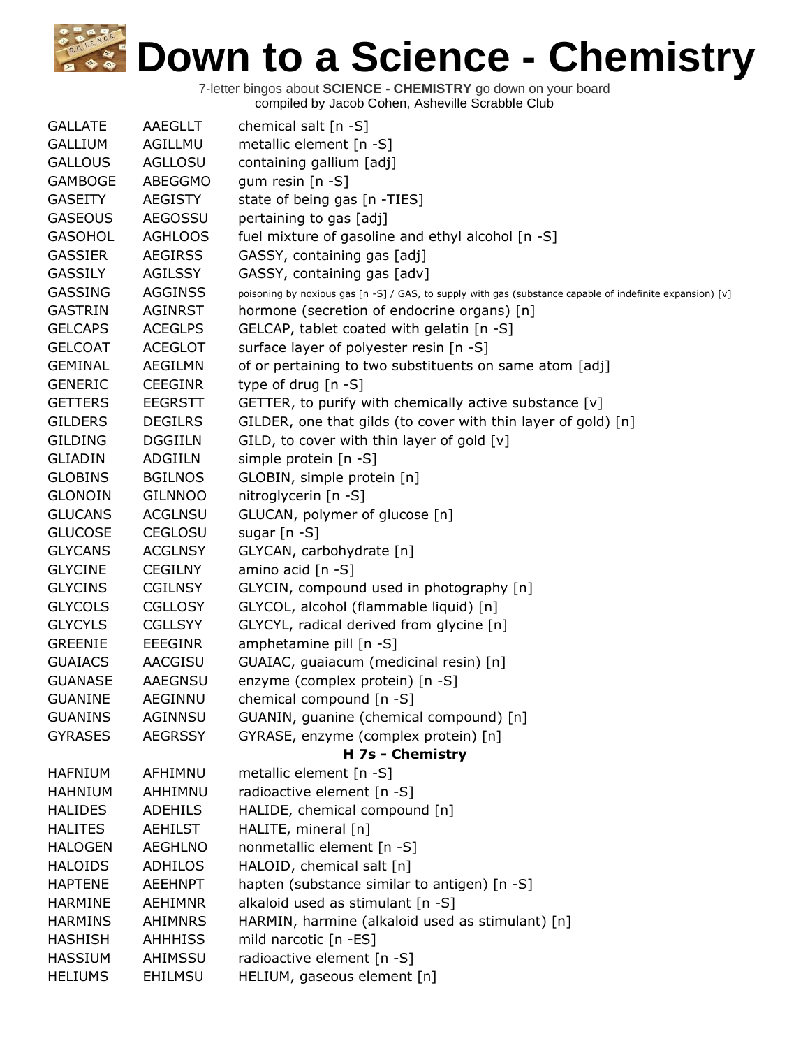| <b>GALLATE</b> | AAEGLLT        | chemical salt $[n -S]$                                                                                    |
|----------------|----------------|-----------------------------------------------------------------------------------------------------------|
| <b>GALLIUM</b> | AGILLMU        | metallic element [n -S]                                                                                   |
| <b>GALLOUS</b> | <b>AGLLOSU</b> | containing gallium [adj]                                                                                  |
| <b>GAMBOGE</b> | ABEGGMO        | gum resin $[n - S]$                                                                                       |
| <b>GASEITY</b> | <b>AEGISTY</b> | state of being gas [n -TIES]                                                                              |
| <b>GASEOUS</b> | <b>AEGOSSU</b> | pertaining to gas [adj]                                                                                   |
| <b>GASOHOL</b> | <b>AGHLOOS</b> | fuel mixture of gasoline and ethyl alcohol [n -S]                                                         |
| <b>GASSIER</b> | <b>AEGIRSS</b> | GASSY, containing gas [adj]                                                                               |
| <b>GASSILY</b> | <b>AGILSSY</b> | GASSY, containing gas [adv]                                                                               |
| <b>GASSING</b> | <b>AGGINSS</b> | poisoning by noxious gas [n -S] / GAS, to supply with gas (substance capable of indefinite expansion) [v] |
| <b>GASTRIN</b> | <b>AGINRST</b> | hormone (secretion of endocrine organs) [n]                                                               |
| <b>GELCAPS</b> | <b>ACEGLPS</b> | GELCAP, tablet coated with gelatin [n -S]                                                                 |
| <b>GELCOAT</b> | <b>ACEGLOT</b> | surface layer of polyester resin [n -S]                                                                   |
| <b>GEMINAL</b> | <b>AEGILMN</b> | of or pertaining to two substituents on same atom [adj]                                                   |
| <b>GENERIC</b> | <b>CEEGINR</b> | type of drug $[n - S]$                                                                                    |
| <b>GETTERS</b> | <b>EEGRSTT</b> | GETTER, to purify with chemically active substance [v]                                                    |
| <b>GILDERS</b> | <b>DEGILRS</b> | GILDER, one that gilds (to cover with thin layer of gold) [n]                                             |
| <b>GILDING</b> | <b>DGGIILN</b> | GILD, to cover with thin layer of gold [v]                                                                |
| <b>GLIADIN</b> | ADGIILN        | simple protein [n -S]                                                                                     |
| <b>GLOBINS</b> | <b>BGILNOS</b> | GLOBIN, simple protein [n]                                                                                |
| <b>GLONOIN</b> | <b>GILNNOO</b> | nitroglycerin [n -S]                                                                                      |
| <b>GLUCANS</b> | <b>ACGLNSU</b> | GLUCAN, polymer of glucose [n]                                                                            |
| <b>GLUCOSE</b> | <b>CEGLOSU</b> | sugar $[n - S]$                                                                                           |
| <b>GLYCANS</b> | <b>ACGLNSY</b> | GLYCAN, carbohydrate [n]                                                                                  |
| <b>GLYCINE</b> | <b>CEGILNY</b> | amino acid [n -S]                                                                                         |
| <b>GLYCINS</b> | <b>CGILNSY</b> | GLYCIN, compound used in photography [n]                                                                  |
| <b>GLYCOLS</b> | <b>CGLLOSY</b> | GLYCOL, alcohol (flammable liquid) [n]                                                                    |
| <b>GLYCYLS</b> | <b>CGLLSYY</b> | GLYCYL, radical derived from glycine [n]                                                                  |
| <b>GREENIE</b> | <b>EEEGINR</b> | amphetamine pill [n -S]                                                                                   |
| <b>GUAIACS</b> | AACGISU        | GUAIAC, guaiacum (medicinal resin) [n]                                                                    |
| <b>GUANASE</b> | <b>AAEGNSU</b> | enzyme (complex protein) [n -S]                                                                           |
| <b>GUANINE</b> | AEGINNU        | chemical compound [n -S]                                                                                  |
| <b>GUANINS</b> | AGINNSU        | GUANIN, guanine (chemical compound) [n]                                                                   |
| <b>GYRASES</b> | <b>AEGRSSY</b> | GYRASE, enzyme (complex protein) [n]                                                                      |
|                |                | H 7s - Chemistry                                                                                          |
| <b>HAFNIUM</b> | AFHIMNU        | metallic element [n -S]                                                                                   |
| <b>HAHNIUM</b> | AHHIMNU        | radioactive element [n -S]                                                                                |
| <b>HALIDES</b> | <b>ADEHILS</b> | HALIDE, chemical compound [n]                                                                             |
| <b>HALITES</b> | <b>AEHILST</b> | HALITE, mineral [n]                                                                                       |
| <b>HALOGEN</b> | <b>AEGHLNO</b> | nonmetallic element [n -S]                                                                                |
| <b>HALOIDS</b> | <b>ADHILOS</b> | HALOID, chemical salt [n]                                                                                 |
| <b>HAPTENE</b> | <b>AEEHNPT</b> | hapten (substance similar to antigen) [n -S]                                                              |
| <b>HARMINE</b> | <b>AEHIMNR</b> | alkaloid used as stimulant [n -S]                                                                         |
| <b>HARMINS</b> | <b>AHIMNRS</b> | HARMIN, harmine (alkaloid used as stimulant) [n]                                                          |
| <b>HASHISH</b> | <b>AHHHISS</b> | mild narcotic [n -ES]                                                                                     |
| <b>HASSIUM</b> | AHIMSSU        | radioactive element [n -S]                                                                                |
| <b>HELIUMS</b> | <b>EHILMSU</b> | HELIUM, gaseous element [n]                                                                               |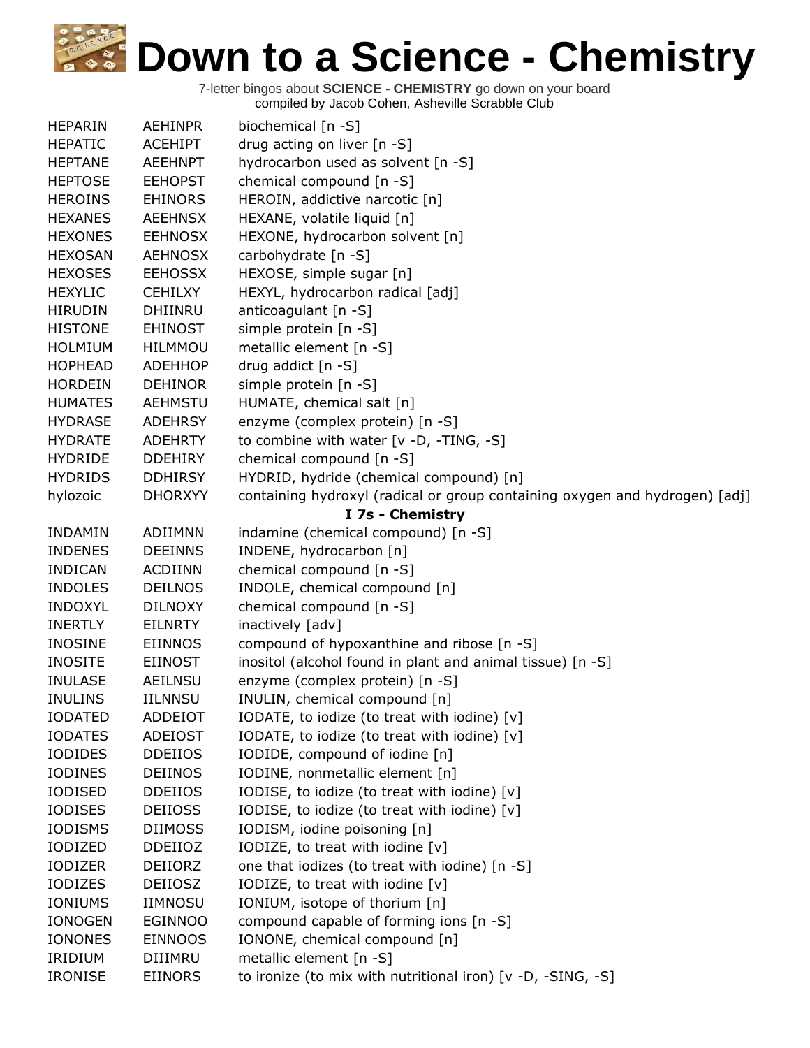| <b>HEPARIN</b> | <b>AEHINPR</b> | biochemical [n -S]                                                          |
|----------------|----------------|-----------------------------------------------------------------------------|
| <b>HEPATIC</b> | <b>ACEHIPT</b> | drug acting on liver [n -S]                                                 |
| <b>HEPTANE</b> | <b>AEEHNPT</b> | hydrocarbon used as solvent [n -S]                                          |
| <b>HEPTOSE</b> | <b>EEHOPST</b> | chemical compound [n -S]                                                    |
| <b>HEROINS</b> | <b>EHINORS</b> | HEROIN, addictive narcotic [n]                                              |
| <b>HEXANES</b> | <b>AEEHNSX</b> | HEXANE, volatile liquid [n]                                                 |
| <b>HEXONES</b> | <b>EEHNOSX</b> | HEXONE, hydrocarbon solvent [n]                                             |
| <b>HEXOSAN</b> | <b>AEHNOSX</b> | carbohydrate [n -S]                                                         |
| <b>HEXOSES</b> | <b>EEHOSSX</b> | HEXOSE, simple sugar [n]                                                    |
| <b>HEXYLIC</b> | <b>CEHILXY</b> | HEXYL, hydrocarbon radical [adj]                                            |
| <b>HIRUDIN</b> | DHIINRU        | anticoagulant $[n - S]$                                                     |
| <b>HISTONE</b> | <b>EHINOST</b> | simple protein [n -S]                                                       |
| <b>HOLMIUM</b> | <b>HILMMOU</b> | metallic element [n -S]                                                     |
| <b>HOPHEAD</b> | <b>ADEHHOP</b> | drug addict $[n -S]$                                                        |
| <b>HORDEIN</b> | <b>DEHINOR</b> | simple protein [n -S]                                                       |
| <b>HUMATES</b> | <b>AEHMSTU</b> | HUMATE, chemical salt [n]                                                   |
| <b>HYDRASE</b> | <b>ADEHRSY</b> | enzyme (complex protein) [n -S]                                             |
| <b>HYDRATE</b> | <b>ADEHRTY</b> | to combine with water [v -D, -TING, -S]                                     |
| <b>HYDRIDE</b> | <b>DDEHIRY</b> | chemical compound [n -S]                                                    |
| <b>HYDRIDS</b> | <b>DDHIRSY</b> | HYDRID, hydride (chemical compound) [n]                                     |
| hylozoic       | <b>DHORXYY</b> | containing hydroxyl (radical or group containing oxygen and hydrogen) [adj] |
|                |                | I 7s - Chemistry                                                            |
| <b>INDAMIN</b> | ADIIMNN        | indamine (chemical compound) [n -S]                                         |
| <b>INDENES</b> | <b>DEEINNS</b> | INDENE, hydrocarbon [n]                                                     |
| <b>INDICAN</b> | <b>ACDIINN</b> | chemical compound [n -S]                                                    |
| <b>INDOLES</b> | <b>DEILNOS</b> | INDOLE, chemical compound [n]                                               |
| <b>INDOXYL</b> | <b>DILNOXY</b> | chemical compound [n -S]                                                    |
| <b>INERTLY</b> | <b>EILNRTY</b> | inactively [adv]                                                            |
| <b>INOSINE</b> | <b>EIINNOS</b> | compound of hypoxanthine and ribose [n -S]                                  |
| <b>INOSITE</b> | <b>EIINOST</b> | inositol (alcohol found in plant and animal tissue) [n -S]                  |
| <b>INULASE</b> | AEILNSU        | enzyme (complex protein) [n -S]                                             |
| <b>INULINS</b> | <b>IILNNSU</b> | INULIN, chemical compound [n]                                               |
| <b>IODATED</b> | ADDEIOT        | IODATE, to iodize (to treat with iodine) [v]                                |
| <b>IODATES</b> | <b>ADEIOST</b> | IODATE, to iodize (to treat with iodine) [v]                                |
| <b>IODIDES</b> | <b>DDEIIOS</b> | IODIDE, compound of iodine [n]                                              |
| <b>IODINES</b> | <b>DEIINOS</b> | IODINE, nonmetallic element [n]                                             |
| <b>IODISED</b> | <b>DDEIIOS</b> | IODISE, to iodize (to treat with iodine) [v]                                |
| <b>IODISES</b> | <b>DEIIOSS</b> | IODISE, to iodize (to treat with iodine) [v]                                |
| <b>IODISMS</b> | <b>DIIMOSS</b> | IODISM, iodine poisoning [n]                                                |
| IODIZED        | <b>DDEIIOZ</b> | IODIZE, to treat with iodine [v]                                            |
| <b>IODIZER</b> | DEIIORZ        | one that iodizes (to treat with iodine) [n -S]                              |
| <b>IODIZES</b> | <b>DEIIOSZ</b> | IODIZE, to treat with iodine [v]                                            |
| IONIUMS        | <b>IIMNOSU</b> | IONIUM, isotope of thorium [n]                                              |
| <b>IONOGEN</b> | <b>EGINNOO</b> | compound capable of forming ions [n -S]                                     |
| <b>IONONES</b> | <b>EINNOOS</b> | IONONE, chemical compound [n]                                               |
| <b>IRIDIUM</b> | DIIIMRU        | metallic element [n -S]                                                     |
| <b>IRONISE</b> | <b>EIINORS</b> | to ironize (to mix with nutritional iron) [v -D, -SING, -S]                 |
|                |                |                                                                             |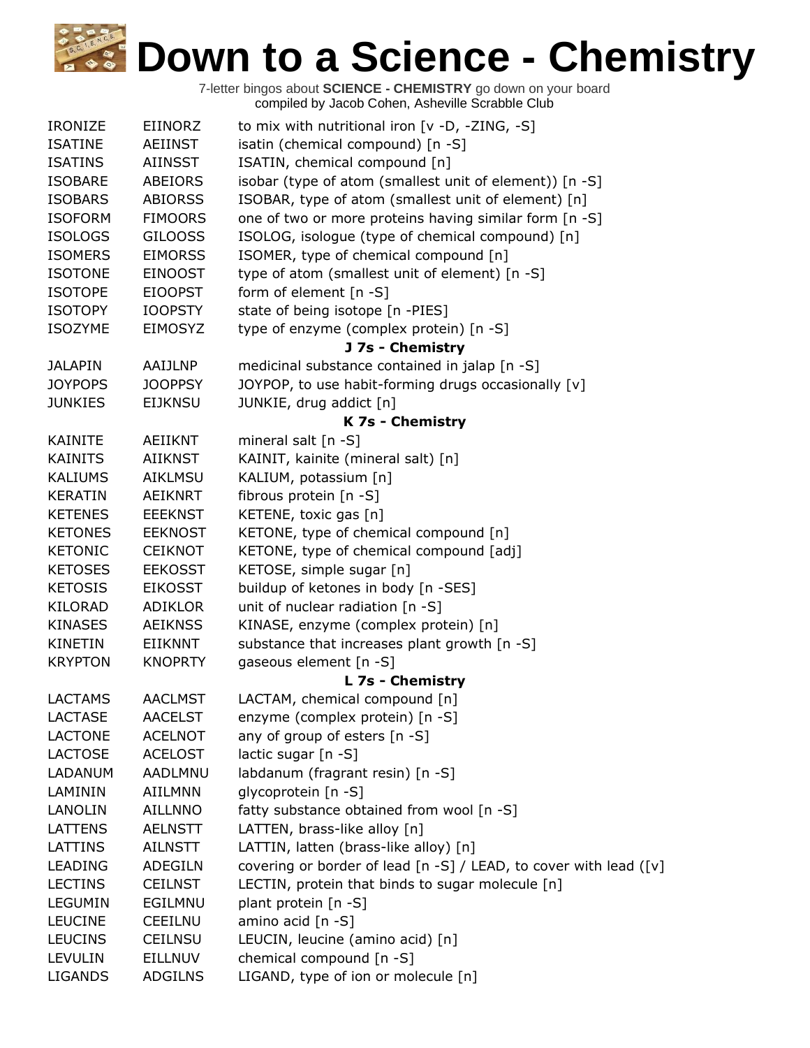| <b>IRONIZE</b> | <b>EIINORZ</b> | to mix with nutritional iron $[v -D, -ZING, -S]$                  |
|----------------|----------------|-------------------------------------------------------------------|
| <b>ISATINE</b> | AEIINST        | isatin (chemical compound) [n -S]                                 |
| <b>ISATINS</b> | <b>AIINSST</b> | ISATIN, chemical compound [n]                                     |
| <b>ISOBARE</b> | <b>ABEIORS</b> | isobar (type of atom (smallest unit of element)) [n -S]           |
| <b>ISOBARS</b> | <b>ABIORSS</b> | ISOBAR, type of atom (smallest unit of element) [n]               |
| <b>ISOFORM</b> | <b>FIMOORS</b> | one of two or more proteins having similar form [n -S]            |
| <b>ISOLOGS</b> | <b>GILOOSS</b> | ISOLOG, isologue (type of chemical compound) [n]                  |
| <b>ISOMERS</b> | <b>EIMORSS</b> | ISOMER, type of chemical compound [n]                             |
| <b>ISOTONE</b> | <b>EINOOST</b> | type of atom (smallest unit of element) [n -S]                    |
| <b>ISOTOPE</b> | <b>EIOOPST</b> | form of element [n -S]                                            |
| <b>ISOTOPY</b> | <b>IOOPSTY</b> | state of being isotope [n -PIES]                                  |
| <b>ISOZYME</b> | <b>EIMOSYZ</b> | type of enzyme (complex protein) [n -S]                           |
|                |                | J 7s - Chemistry                                                  |
| <b>JALAPIN</b> | AAIJLNP        | medicinal substance contained in jalap [n -S]                     |
| <b>JOYPOPS</b> | <b>JOOPPSY</b> | JOYPOP, to use habit-forming drugs occasionally [v]               |
| <b>JUNKIES</b> | <b>EIJKNSU</b> | JUNKIE, drug addict [n]                                           |
|                |                | K 7s - Chemistry                                                  |
| <b>KAINITE</b> | <b>AEIIKNT</b> | mineral salt [n -S]                                               |
| <b>KAINITS</b> | <b>AIIKNST</b> | KAINIT, kainite (mineral salt) [n]                                |
| <b>KALIUMS</b> | <b>AIKLMSU</b> | KALIUM, potassium [n]                                             |
| <b>KERATIN</b> | <b>AEIKNRT</b> | fibrous protein [n -S]                                            |
| <b>KETENES</b> | <b>EEEKNST</b> | KETENE, toxic gas [n]                                             |
| <b>KETONES</b> | <b>EEKNOST</b> | KETONE, type of chemical compound [n]                             |
| <b>KETONIC</b> | <b>CEIKNOT</b> | KETONE, type of chemical compound [adj]                           |
| <b>KETOSES</b> | <b>EEKOSST</b> | KETOSE, simple sugar [n]                                          |
| <b>KETOSIS</b> | <b>EIKOSST</b> | buildup of ketones in body [n -SES]                               |
| <b>KILORAD</b> | <b>ADIKLOR</b> | unit of nuclear radiation [n -S]                                  |
| <b>KINASES</b> | <b>AEIKNSS</b> | KINASE, enzyme (complex protein) [n]                              |
| <b>KINETIN</b> | <b>EIIKNNT</b> | substance that increases plant growth [n -S]                      |
| <b>KRYPTON</b> | <b>KNOPRTY</b> | gaseous element [n -S]                                            |
|                |                | L 7s - Chemistry                                                  |
| <b>LACTAMS</b> | <b>AACLMST</b> | LACTAM, chemical compound [n]                                     |
| <b>LACTASE</b> | <b>AACELST</b> | enzyme (complex protein) [n -S]                                   |
| <b>LACTONE</b> | <b>ACELNOT</b> | any of group of esters [n -S]                                     |
| <b>LACTOSE</b> | <b>ACELOST</b> | lactic sugar [n -S]                                               |
| LADANUM        | <b>AADLMNU</b> | labdanum (fragrant resin) [n -S]                                  |
| LAMININ        | AIILMNN        | glycoprotein [n -S]                                               |
| LANOLIN        | <b>AILLNNO</b> | fatty substance obtained from wool [n -S]                         |
| LATTENS        | <b>AELNSTT</b> | LATTEN, brass-like alloy [n]                                      |
| LATTINS        | <b>AILNSTT</b> | LATTIN, latten (brass-like alloy) [n]                             |
| <b>LEADING</b> | <b>ADEGILN</b> | covering or border of lead [n -S] / LEAD, to cover with lead ([v] |
| <b>LECTINS</b> | <b>CEILNST</b> | LECTIN, protein that binds to sugar molecule [n]                  |
| LEGUMIN        | EGILMNU        | plant protein [n -S]                                              |
| <b>LEUCINE</b> | <b>CEEILNU</b> | amino acid [n -S]                                                 |
| <b>LEUCINS</b> | <b>CEILNSU</b> | LEUCIN, leucine (amino acid) [n]                                  |
| LEVULIN        | <b>EILLNUV</b> | chemical compound [n -S]                                          |
| <b>LIGANDS</b> | <b>ADGILNS</b> | LIGAND, type of ion or molecule [n]                               |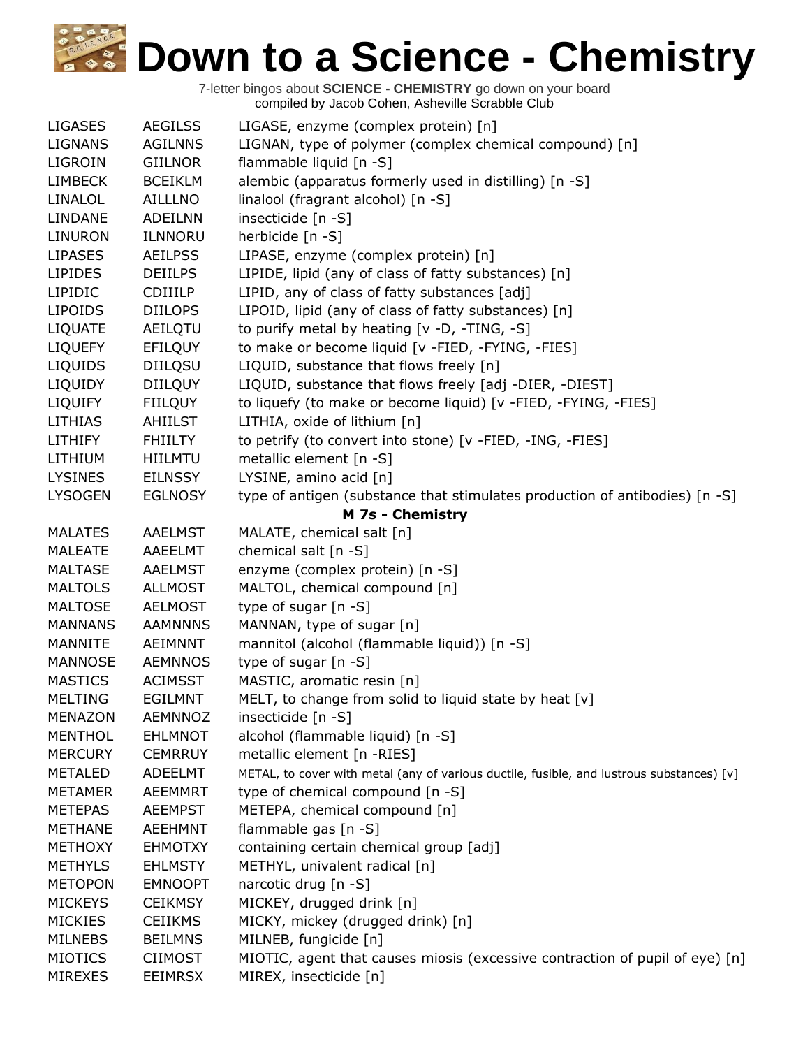| <b>LIGASES</b> | <b>AEGILSS</b> | LIGASE, enzyme (complex protein) [n]                                                      |
|----------------|----------------|-------------------------------------------------------------------------------------------|
| <b>LIGNANS</b> | <b>AGILNNS</b> | LIGNAN, type of polymer (complex chemical compound) [n]                                   |
| LIGROIN        | <b>GIILNOR</b> | flammable liquid [n -S]                                                                   |
| <b>LIMBECK</b> | <b>BCEIKLM</b> | alembic (apparatus formerly used in distilling) [n -S]                                    |
| LINALOL        | AILLLNO        | linalool (fragrant alcohol) [n -S]                                                        |
| LINDANE        | <b>ADEILNN</b> | insecticide [n -S]                                                                        |
| <b>LINURON</b> | ILNNORU        | herbicide [n -S]                                                                          |
| <b>LIPASES</b> | <b>AEILPSS</b> | LIPASE, enzyme (complex protein) [n]                                                      |
| <b>LIPIDES</b> | <b>DEIILPS</b> | LIPIDE, lipid (any of class of fatty substances) [n]                                      |
| LIPIDIC        | <b>CDIIILP</b> | LIPID, any of class of fatty substances [adj]                                             |
| <b>LIPOIDS</b> | <b>DIILOPS</b> | LIPOID, lipid (any of class of fatty substances) [n]                                      |
| <b>LIQUATE</b> | AEILQTU        | to purify metal by heating [v -D, -TING, -S]                                              |
| <b>LIQUEFY</b> | EFILQUY        | to make or become liquid [v -FIED, -FYING, -FIES]                                         |
| LIQUIDS        | <b>DIILQSU</b> | LIQUID, substance that flows freely [n]                                                   |
| LIQUIDY        | <b>DIILQUY</b> | LIQUID, substance that flows freely [adj -DIER, -DIEST]                                   |
| <b>LIQUIFY</b> | <b>FIILQUY</b> | to liquefy (to make or become liquid) [v -FIED, -FYING, -FIES]                            |
| <b>LITHIAS</b> | AHIILST        | LITHIA, oxide of lithium [n]                                                              |
| <b>LITHIFY</b> | <b>FHIILTY</b> | to petrify (to convert into stone) [v -FIED, -ING, -FIES]                                 |
| LITHIUM        | <b>HIILMTU</b> | metallic element [n -S]                                                                   |
| <b>LYSINES</b> | <b>EILNSSY</b> | LYSINE, amino acid [n]                                                                    |
| <b>LYSOGEN</b> | <b>EGLNOSY</b> | type of antigen (substance that stimulates production of antibodies) [n -S]               |
|                |                | M 7s - Chemistry                                                                          |
| <b>MALATES</b> | <b>AAELMST</b> | MALATE, chemical salt [n]                                                                 |
| <b>MALEATE</b> | AAEELMT        | chemical salt [n -S]                                                                      |
| <b>MALTASE</b> | <b>AAELMST</b> | enzyme (complex protein) [n -S]                                                           |
| <b>MALTOLS</b> | <b>ALLMOST</b> | MALTOL, chemical compound [n]                                                             |
| <b>MALTOSE</b> | <b>AELMOST</b> | type of sugar [n -S]                                                                      |
| <b>MANNANS</b> | <b>AAMNNNS</b> | MANNAN, type of sugar [n]                                                                 |
| MANNITE        | <b>AEIMNNT</b> | mannitol (alcohol (flammable liquid)) [n -S]                                              |
| MANNOSE        | <b>AEMNNOS</b> | type of sugar [n -S]                                                                      |
| <b>MASTICS</b> | <b>ACIMSST</b> | MASTIC, aromatic resin [n]                                                                |
| <b>MELTING</b> | <b>EGILMNT</b> | MELT, to change from solid to liquid state by heat [v]                                    |
| <b>MENAZON</b> | <b>AEMNNOZ</b> | insecticide [n -S]                                                                        |
| <b>MENTHOL</b> | <b>EHLMNOT</b> | alcohol (flammable liquid) [n -S]                                                         |
| <b>MERCURY</b> | <b>CEMRRUY</b> | metallic element [n -RIES]                                                                |
| <b>METALED</b> | <b>ADEELMT</b> | METAL, to cover with metal (any of various ductile, fusible, and lustrous substances) [v] |
| <b>METAMER</b> | <b>AEEMMRT</b> | type of chemical compound [n -S]                                                          |
| <b>METEPAS</b> | <b>AEEMPST</b> | METEPA, chemical compound [n]                                                             |
| <b>METHANE</b> | <b>AEEHMNT</b> | flammable gas [n -S]                                                                      |
| <b>METHOXY</b> | <b>EHMOTXY</b> | containing certain chemical group [adj]                                                   |
| <b>METHYLS</b> | <b>EHLMSTY</b> | METHYL, univalent radical [n]                                                             |
| <b>METOPON</b> | <b>EMNOOPT</b> | narcotic drug [n -S]                                                                      |
| <b>MICKEYS</b> | <b>CEIKMSY</b> | MICKEY, drugged drink [n]                                                                 |
| <b>MICKIES</b> | <b>CEIIKMS</b> | MICKY, mickey (drugged drink) [n]                                                         |
| <b>MILNEBS</b> | <b>BEILMNS</b> | MILNEB, fungicide [n]                                                                     |
| <b>MIOTICS</b> | <b>CIIMOST</b> | MIOTIC, agent that causes miosis (excessive contraction of pupil of eye) [n]              |
| <b>MIREXES</b> | <b>EEIMRSX</b> | MIREX, insecticide [n]                                                                    |
|                |                |                                                                                           |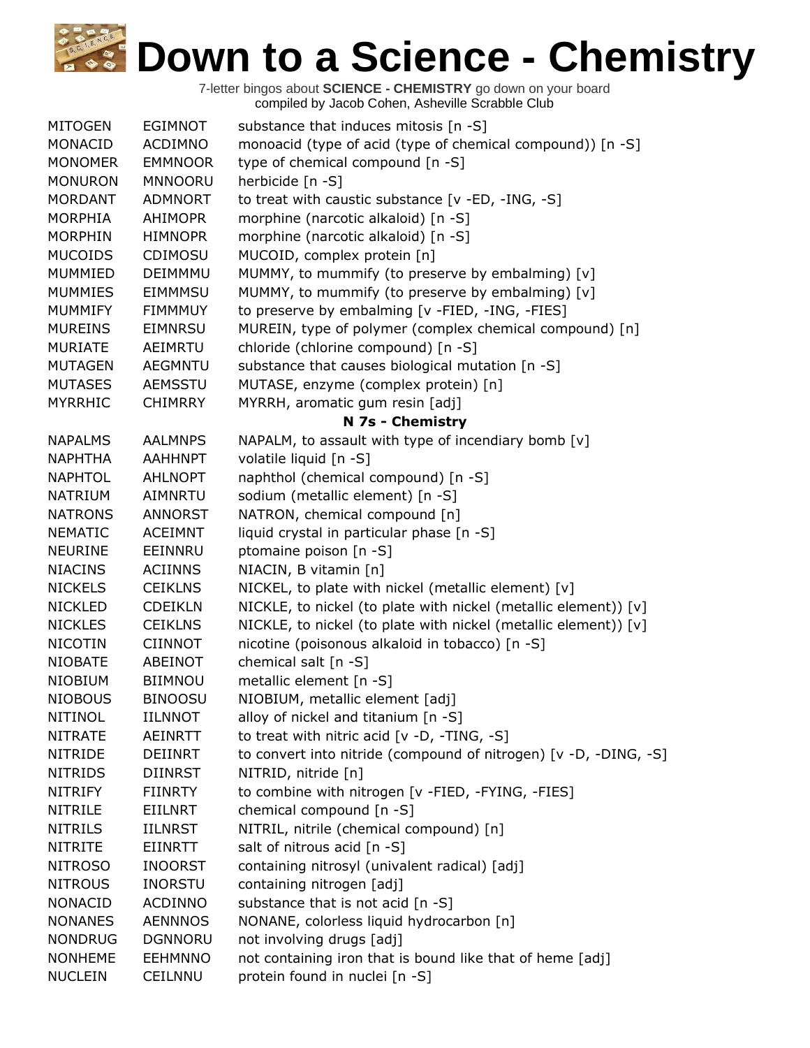| <b>MITOGEN</b> | <b>EGIMNOT</b> | substance that induces mitosis [n -S]                            |
|----------------|----------------|------------------------------------------------------------------|
| MONACID        | <b>ACDIMNO</b> | monoacid (type of acid (type of chemical compound)) [n -S]       |
| <b>MONOMER</b> | <b>EMMNOOR</b> | type of chemical compound [n -S]                                 |
| <b>MONURON</b> | <b>MNNOORU</b> | herbicide [n -S]                                                 |
| <b>MORDANT</b> | <b>ADMNORT</b> | to treat with caustic substance [v -ED, -ING, -S]                |
| <b>MORPHIA</b> | <b>AHIMOPR</b> | morphine (narcotic alkaloid) [n -S]                              |
| <b>MORPHIN</b> | <b>HIMNOPR</b> | morphine (narcotic alkaloid) [n -S]                              |
| <b>MUCOIDS</b> | <b>CDIMOSU</b> | MUCOID, complex protein [n]                                      |
| MUMMIED        | DEIMMMU        | MUMMY, to mummify (to preserve by embalming) [v]                 |
| <b>MUMMIES</b> | <b>EIMMMSU</b> | MUMMY, to mummify (to preserve by embalming) [v]                 |
| <b>MUMMIFY</b> | <b>FIMMMUY</b> | to preserve by embalming [v -FIED, -ING, -FIES]                  |
| <b>MUREINS</b> | <b>EIMNRSU</b> | MUREIN, type of polymer (complex chemical compound) [n]          |
| <b>MURIATE</b> | AEIMRTU        | chloride (chlorine compound) [n -S]                              |
| <b>MUTAGEN</b> | <b>AEGMNTU</b> | substance that causes biological mutation [n -S]                 |
| <b>MUTASES</b> | <b>AEMSSTU</b> | MUTASE, enzyme (complex protein) [n]                             |
| <b>MYRRHIC</b> | <b>CHIMRRY</b> | MYRRH, aromatic gum resin [adj]                                  |
|                |                | N 7s - Chemistry                                                 |
| <b>NAPALMS</b> | <b>AALMNPS</b> | NAPALM, to assault with type of incendiary bomb [v]              |
| <b>NAPHTHA</b> | <b>AAHHNPT</b> | volatile liquid [n -S]                                           |
| <b>NAPHTOL</b> | <b>AHLNOPT</b> | naphthol (chemical compound) [n -S]                              |
| <b>NATRIUM</b> | AIMNRTU        | sodium (metallic element) [n -S]                                 |
| <b>NATRONS</b> | <b>ANNORST</b> | NATRON, chemical compound [n]                                    |
| <b>NEMATIC</b> | <b>ACEIMNT</b> | liquid crystal in particular phase [n -S]                        |
| <b>NEURINE</b> | EEINNRU        | ptomaine poison [n -S]                                           |
| <b>NIACINS</b> | <b>ACIINNS</b> | NIACIN, B vitamin [n]                                            |
| <b>NICKELS</b> | <b>CEIKLNS</b> | NICKEL, to plate with nickel (metallic element) [v]              |
| <b>NICKLED</b> | <b>CDEIKLN</b> | NICKLE, to nickel (to plate with nickel (metallic element)) [v]  |
| <b>NICKLES</b> | <b>CEIKLNS</b> | NICKLE, to nickel (to plate with nickel (metallic element)) [v]  |
| <b>NICOTIN</b> | <b>CIINNOT</b> | nicotine (poisonous alkaloid in tobacco) [n -S]                  |
| <b>NIOBATE</b> | ABEINOT        | chemical salt [n -S]                                             |
| <b>NIOBIUM</b> | <b>BIIMNOU</b> | metallic element [n -S]                                          |
| <b>NIOBOUS</b> | <b>BINOOSU</b> | NIOBIUM, metallic element [adj]                                  |
| <b>NITINOL</b> | <b>IILNNOT</b> | alloy of nickel and titanium $[n - S]$                           |
| <b>NITRATE</b> | <b>AEINRTT</b> | to treat with nitric acid [v -D, -TING, -S]                      |
| <b>NITRIDE</b> | DEIINRT        | to convert into nitride (compound of nitrogen) [v -D, -DING, -S] |
| <b>NITRIDS</b> | <b>DIINRST</b> | NITRID, nitride [n]                                              |
| <b>NITRIFY</b> | <b>FIINRTY</b> | to combine with nitrogen [v -FIED, -FYING, -FIES]                |
| <b>NITRILE</b> | EIILNRT        | chemical compound [n -S]                                         |
| <b>NITRILS</b> | <b>IILNRST</b> | NITRIL, nitrile (chemical compound) [n]                          |
| <b>NITRITE</b> | EIINRTT        | salt of nitrous acid [n -S]                                      |
| <b>NITROSO</b> | <b>INOORST</b> | containing nitrosyl (univalent radical) [adj]                    |
| <b>NITROUS</b> | <b>INORSTU</b> | containing nitrogen [adj]                                        |
| <b>NONACID</b> | <b>ACDINNO</b> | substance that is not acid [n -S]                                |
| <b>NONANES</b> | <b>AENNNOS</b> | NONANE, colorless liquid hydrocarbon [n]                         |
| <b>NONDRUG</b> | <b>DGNNORU</b> | not involving drugs [adj]                                        |
| <b>NONHEME</b> | <b>EEHMNNO</b> | not containing iron that is bound like that of heme [adj]        |
| <b>NUCLEIN</b> | <b>CEILNNU</b> | protein found in nuclei [n -S]                                   |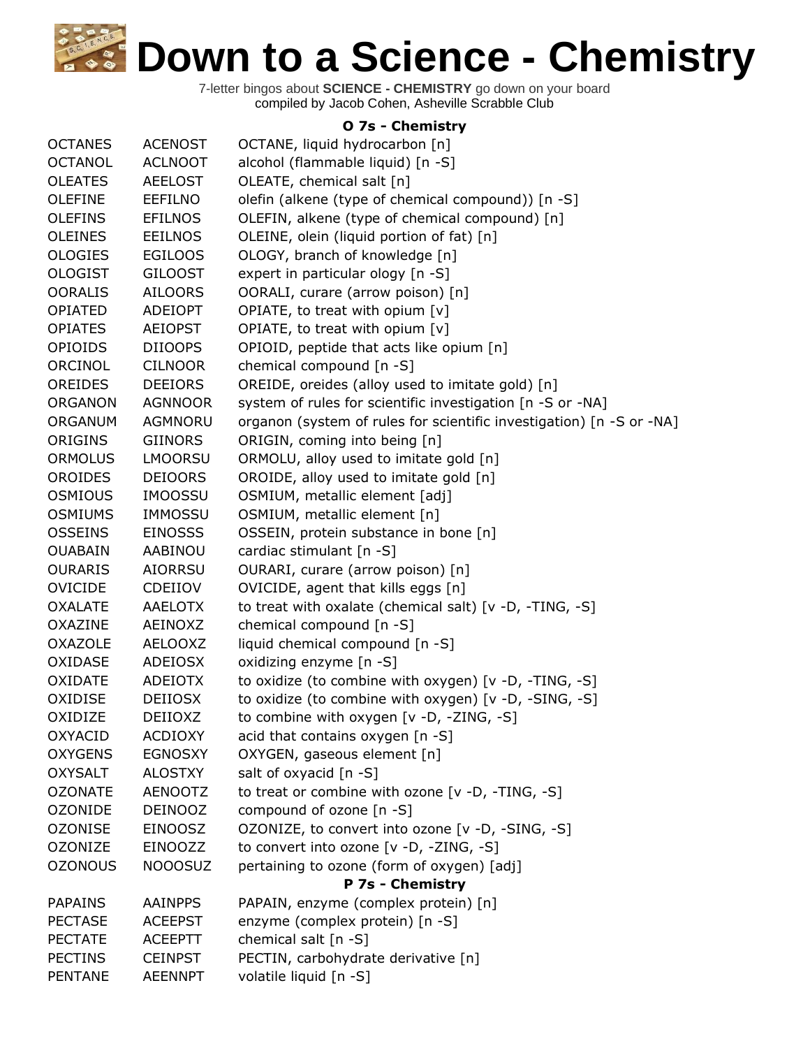7-letter bingos about **SCIENCE - CHEMISTRY** go down on your board compiled by Jacob Cohen, Asheville Scrabble Club

## **O 7s - Chemistry**

| <b>OCTANES</b> | <b>ACENOST</b> | OCTANE, liquid hydrocarbon [n]                                       |
|----------------|----------------|----------------------------------------------------------------------|
| <b>OCTANOL</b> | <b>ACLNOOT</b> | alcohol (flammable liquid) [n -S]                                    |
| <b>OLEATES</b> | <b>AEELOST</b> | OLEATE, chemical salt [n]                                            |
| <b>OLEFINE</b> | EEFILNO        | olefin (alkene (type of chemical compound)) [n -S]                   |
| <b>OLEFINS</b> | <b>EFILNOS</b> | OLEFIN, alkene (type of chemical compound) [n]                       |
| <b>OLEINES</b> | <b>EEILNOS</b> | OLEINE, olein (liquid portion of fat) [n]                            |
| <b>OLOGIES</b> | <b>EGILOOS</b> | OLOGY, branch of knowledge [n]                                       |
| <b>OLOGIST</b> | <b>GILOOST</b> | expert in particular ology [n -S]                                    |
| <b>OORALIS</b> | <b>AILOORS</b> | OORALI, curare (arrow poison) [n]                                    |
| <b>OPIATED</b> | <b>ADEIOPT</b> | OPIATE, to treat with opium [v]                                      |
| <b>OPIATES</b> | <b>AEIOPST</b> | OPIATE, to treat with opium [v]                                      |
| <b>OPIOIDS</b> | <b>DIIOOPS</b> | OPIOID, peptide that acts like opium [n]                             |
| ORCINOL        | <b>CILNOOR</b> | chemical compound [n -S]                                             |
| OREIDES        | <b>DEEIORS</b> | OREIDE, oreides (alloy used to imitate gold) [n]                     |
| <b>ORGANON</b> | <b>AGNNOOR</b> | system of rules for scientific investigation [n -S or -NA]           |
| ORGANUM        | <b>AGMNORU</b> | organon (system of rules for scientific investigation) [n -S or -NA] |
| ORIGINS        | <b>GIINORS</b> | ORIGIN, coming into being [n]                                        |
| <b>ORMOLUS</b> | <b>LMOORSU</b> | ORMOLU, alloy used to imitate gold [n]                               |
| <b>OROIDES</b> | <b>DEIOORS</b> | OROIDE, alloy used to imitate gold [n]                               |
| <b>OSMIOUS</b> | <b>IMOOSSU</b> | OSMIUM, metallic element [adj]                                       |
| <b>OSMIUMS</b> | <b>IMMOSSU</b> | OSMIUM, metallic element [n]                                         |
| <b>OSSEINS</b> | <b>EINOSSS</b> | OSSEIN, protein substance in bone [n]                                |
| <b>OUABAIN</b> | AABINOU        | cardiac stimulant [n -S]                                             |
| <b>OURARIS</b> | <b>AIORRSU</b> | OURARI, curare (arrow poison) [n]                                    |
| <b>OVICIDE</b> | CDEIIOV        | OVICIDE, agent that kills eggs [n]                                   |
| <b>OXALATE</b> | <b>AAELOTX</b> | to treat with oxalate (chemical salt) [v -D, -TING, -S]              |
| <b>OXAZINE</b> | AEINOXZ        | chemical compound [n -S]                                             |
| <b>OXAZOLE</b> |                |                                                                      |
|                | <b>AELOOXZ</b> | liquid chemical compound [n -S]                                      |
| OXIDASE        | <b>ADEIOSX</b> | oxidizing enzyme [n -S]                                              |
| <b>OXIDATE</b> | <b>ADEIOTX</b> | to oxidize (to combine with oxygen) [v -D, -TING, -S]                |
| OXIDISE        | <b>DEIIOSX</b> | to oxidize (to combine with oxygen) [v -D, -SING, -S]                |
| OXIDIZE        | DEIIOXZ        | to combine with oxygen [v -D, -ZING, -S]                             |
| <b>OXYACID</b> | <b>ACDIOXY</b> | acid that contains oxygen [n -S]                                     |
| <b>OXYGENS</b> | <b>EGNOSXY</b> | OXYGEN, gaseous element [n]                                          |
| <b>OXYSALT</b> | <b>ALOSTXY</b> | salt of oxyacid [n -S]                                               |
| <b>OZONATE</b> | <b>AENOOTZ</b> | to treat or combine with ozone [v -D, -TING, -S]                     |
| <b>OZONIDE</b> | <b>DEINOOZ</b> | compound of ozone [n -S]                                             |
| <b>OZONISE</b> | <b>EINOOSZ</b> | OZONIZE, to convert into ozone [v -D, -SING, -S]                     |
| <b>OZONIZE</b> | EINOOZZ        | to convert into ozone [v -D, -ZING, -S]                              |
| <b>OZONOUS</b> | <b>NOOOSUZ</b> | pertaining to ozone (form of oxygen) [adj]                           |
|                |                | P 7s - Chemistry                                                     |
| <b>PAPAINS</b> | <b>AAINPPS</b> | PAPAIN, enzyme (complex protein) [n]                                 |
| <b>PECTASE</b> | <b>ACEEPST</b> | enzyme (complex protein) [n -S]                                      |
| <b>PECTATE</b> | <b>ACEEPTT</b> | chemical salt [n -S]                                                 |
| <b>PECTINS</b> | <b>CEINPST</b> | PECTIN, carbohydrate derivative [n]                                  |
| <b>PENTANE</b> | <b>AEENNPT</b> | volatile liquid [n -S]                                               |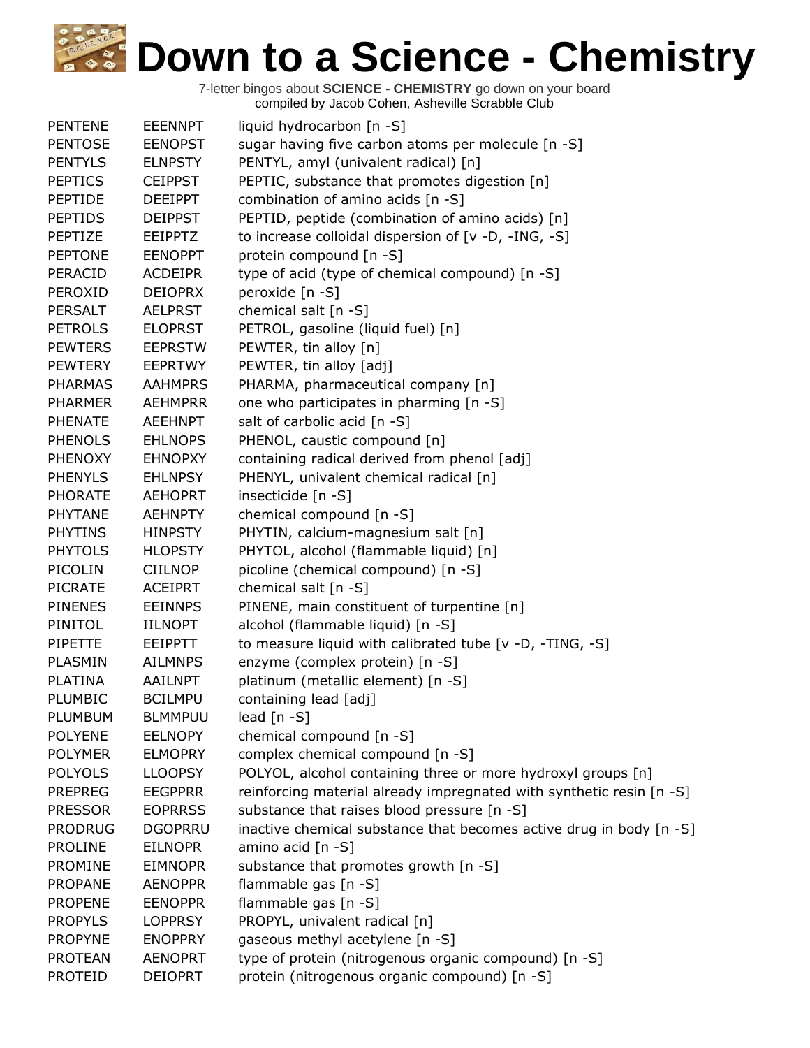| <b>PENTENE</b> | <b>EEENNPT</b> | liquid hydrocarbon [n -S]                                            |
|----------------|----------------|----------------------------------------------------------------------|
| <b>PENTOSE</b> | <b>EENOPST</b> | sugar having five carbon atoms per molecule [n -S]                   |
| <b>PENTYLS</b> | <b>ELNPSTY</b> | PENTYL, amyl (univalent radical) [n]                                 |
| <b>PEPTICS</b> | <b>CEIPPST</b> | PEPTIC, substance that promotes digestion [n]                        |
| <b>PEPTIDE</b> | <b>DEEIPPT</b> | combination of amino acids [n -S]                                    |
| <b>PEPTIDS</b> | <b>DEIPPST</b> | PEPTID, peptide (combination of amino acids) [n]                     |
| PEPTIZE        | <b>EEIPPTZ</b> | to increase colloidal dispersion of [v -D, -ING, -S]                 |
| <b>PEPTONE</b> | <b>EENOPPT</b> | protein compound [n -S]                                              |
| PERACID        | <b>ACDEIPR</b> | type of acid (type of chemical compound) [n -S]                      |
| PEROXID        | <b>DEIOPRX</b> | peroxide [n -S]                                                      |
| <b>PERSALT</b> | <b>AELPRST</b> | chemical salt [n -S]                                                 |
| <b>PETROLS</b> | <b>ELOPRST</b> | PETROL, gasoline (liquid fuel) [n]                                   |
| <b>PEWTERS</b> | <b>EEPRSTW</b> | PEWTER, tin alloy [n]                                                |
| <b>PEWTERY</b> | <b>EEPRTWY</b> | PEWTER, tin alloy [adj]                                              |
| <b>PHARMAS</b> | <b>AAHMPRS</b> | PHARMA, pharmaceutical company [n]                                   |
| <b>PHARMER</b> | AEHMPRR        | one who participates in pharming [n -S]                              |
| <b>PHENATE</b> | <b>AEEHNPT</b> | salt of carbolic acid [n -S]                                         |
| <b>PHENOLS</b> | <b>EHLNOPS</b> | PHENOL, caustic compound [n]                                         |
| <b>PHENOXY</b> | <b>EHNOPXY</b> | containing radical derived from phenol [adj]                         |
| <b>PHENYLS</b> | <b>EHLNPSY</b> | PHENYL, univalent chemical radical [n]                               |
| <b>PHORATE</b> | <b>AEHOPRT</b> | insecticide [n -S]                                                   |
| <b>PHYTANE</b> | <b>AEHNPTY</b> | chemical compound [n -S]                                             |
| <b>PHYTINS</b> | <b>HINPSTY</b> | PHYTIN, calcium-magnesium salt [n]                                   |
| <b>PHYTOLS</b> | <b>HLOPSTY</b> | PHYTOL, alcohol (flammable liquid) [n]                               |
| PICOLIN        | <b>CIILNOP</b> | picoline (chemical compound) [n -S]                                  |
|                |                |                                                                      |
| <b>PICRATE</b> | <b>ACEIPRT</b> | chemical salt [n -S]                                                 |
| <b>PINENES</b> | <b>EEINNPS</b> | PINENE, main constituent of turpentine [n]                           |
| PINITOL        | <b>IILNOPT</b> | alcohol (flammable liquid) [n -S]                                    |
| <b>PIPETTE</b> | <b>EEIPPTT</b> | to measure liquid with calibrated tube [v -D, -TING, -S]             |
| PLASMIN        | <b>AILMNPS</b> | enzyme (complex protein) [n -S]                                      |
| <b>PLATINA</b> | <b>AAILNPT</b> | platinum (metallic element) [n -S]                                   |
| PLUMBIC        | <b>BCILMPU</b> | containing lead [adj]                                                |
| PLUMBUM        | <b>BLMMPUU</b> | lead $[n - S]$                                                       |
| <b>POLYENE</b> | <b>EELNOPY</b> | chemical compound [n -S]                                             |
| <b>POLYMER</b> | <b>ELMOPRY</b> | complex chemical compound [n -S]                                     |
| <b>POLYOLS</b> | <b>LLOOPSY</b> | POLYOL, alcohol containing three or more hydroxyl groups [n]         |
| <b>PREPREG</b> | <b>EEGPPRR</b> | reinforcing material already impregnated with synthetic resin [n -S] |
| <b>PRESSOR</b> | <b>EOPRRSS</b> | substance that raises blood pressure [n -S]                          |
| <b>PRODRUG</b> | <b>DGOPRRU</b> | inactive chemical substance that becomes active drug in body [n -S]  |
| <b>PROLINE</b> | <b>EILNOPR</b> | amino acid [n -S]                                                    |
| <b>PROMINE</b> | <b>EIMNOPR</b> | substance that promotes growth [n -S]                                |
| <b>PROPANE</b> | <b>AENOPPR</b> | flammable gas [n -S]                                                 |
| <b>PROPENE</b> | <b>EENOPPR</b> | flammable gas [n -S]                                                 |
| <b>PROPYLS</b> | <b>LOPPRSY</b> | PROPYL, univalent radical [n]                                        |
| <b>PROPYNE</b> | <b>ENOPPRY</b> | gaseous methyl acetylene [n -S]                                      |
| <b>PROTEAN</b> | <b>AENOPRT</b> | type of protein (nitrogenous organic compound) [n -S]                |
| <b>PROTEID</b> | <b>DEIOPRT</b> | protein (nitrogenous organic compound) [n -S]                        |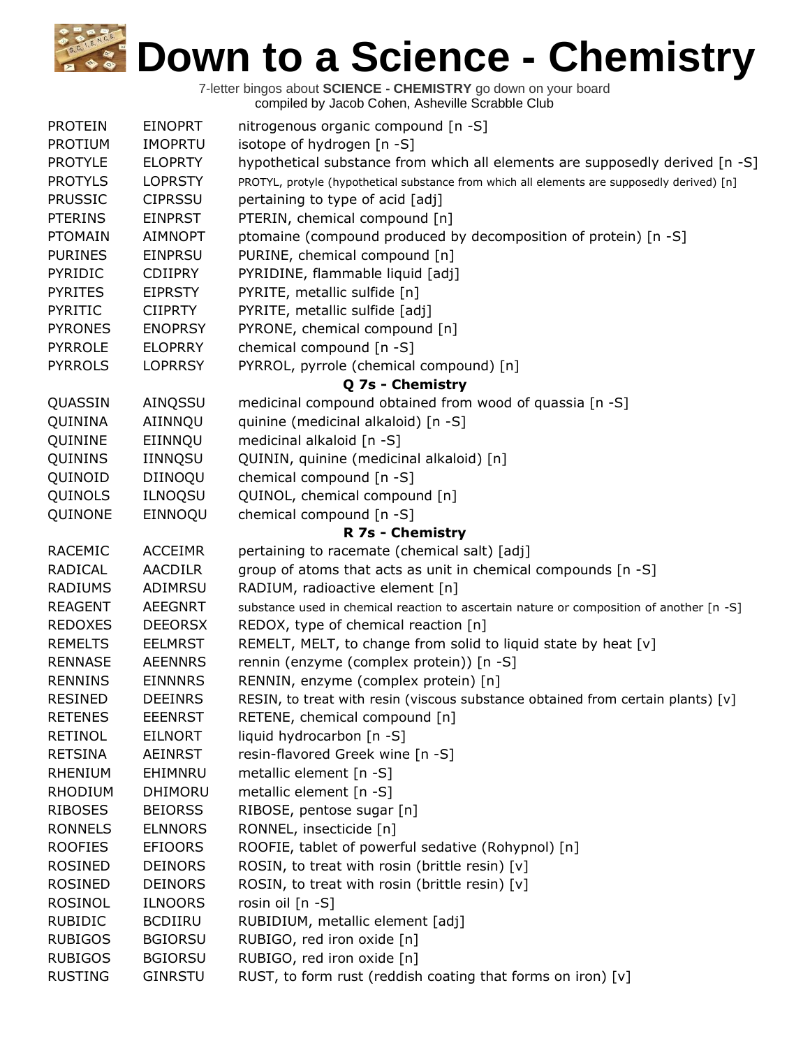| <b>PROTEIN</b> | <b>EINOPRT</b> | nitrogenous organic compound [n -S]                                                         |
|----------------|----------------|---------------------------------------------------------------------------------------------|
| <b>PROTIUM</b> | <b>IMOPRTU</b> | isotope of hydrogen [n -S]                                                                  |
| <b>PROTYLE</b> | <b>ELOPRTY</b> | hypothetical substance from which all elements are supposedly derived [n -S]                |
| <b>PROTYLS</b> | <b>LOPRSTY</b> | PROTYL, protyle (hypothetical substance from which all elements are supposedly derived) [n] |
| <b>PRUSSIC</b> | <b>CIPRSSU</b> | pertaining to type of acid [adj]                                                            |
| <b>PTERINS</b> | <b>EINPRST</b> | PTERIN, chemical compound [n]                                                               |
| <b>PTOMAIN</b> | <b>AIMNOPT</b> | ptomaine (compound produced by decomposition of protein) [n -S]                             |
| <b>PURINES</b> | <b>EINPRSU</b> | PURINE, chemical compound [n]                                                               |
| PYRIDIC        | <b>CDIIPRY</b> | PYRIDINE, flammable liquid [adj]                                                            |
| <b>PYRITES</b> | <b>EIPRSTY</b> | PYRITE, metallic sulfide [n]                                                                |
| PYRITIC        | <b>CIIPRTY</b> | PYRITE, metallic sulfide [adj]                                                              |
| <b>PYRONES</b> | <b>ENOPRSY</b> | PYRONE, chemical compound [n]                                                               |
| <b>PYRROLE</b> | <b>ELOPRRY</b> | chemical compound [n -S]                                                                    |
| <b>PYRROLS</b> | <b>LOPRRSY</b> | PYRROL, pyrrole (chemical compound) [n]                                                     |
|                |                | Q 7s - Chemistry                                                                            |
| QUASSIN        | AINQSSU        | medicinal compound obtained from wood of quassia [n -S]                                     |
| QUININA        | AIINNQU        | quinine (medicinal alkaloid) [n -S]                                                         |
| QUININE        | EIINNQU        | medicinal alkaloid [n -S]                                                                   |
| QUININS        | IINNQSU        | QUININ, quinine (medicinal alkaloid) [n]                                                    |
| QUINOID        | DIINOQU        | chemical compound [n -S]                                                                    |
| QUINOLS        | <b>ILNOQSU</b> | QUINOL, chemical compound [n]                                                               |
| QUINONE        | EINNOQU        | chemical compound [n -S]                                                                    |
|                |                | R 7s - Chemistry                                                                            |
| RACEMIC        | <b>ACCEIMR</b> | pertaining to racemate (chemical salt) [adj]                                                |
| RADICAL        | <b>AACDILR</b> | group of atoms that acts as unit in chemical compounds [n -S]                               |
| <b>RADIUMS</b> | ADIMRSU        | RADIUM, radioactive element [n]                                                             |
| <b>REAGENT</b> | <b>AEEGNRT</b> | substance used in chemical reaction to ascertain nature or composition of another [n -S]    |
| <b>REDOXES</b> | <b>DEEORSX</b> | REDOX, type of chemical reaction [n]                                                        |
| <b>REMELTS</b> | <b>EELMRST</b> | REMELT, MELT, to change from solid to liquid state by heat [v]                              |
| <b>RENNASE</b> | <b>AEENNRS</b> | rennin (enzyme (complex protein)) [n -S]                                                    |
| <b>RENNINS</b> | <b>EINNNRS</b> | RENNIN, enzyme (complex protein) [n]                                                        |
| <b>RESINED</b> | <b>DEEINRS</b> | RESIN, to treat with resin (viscous substance obtained from certain plants) [v]             |
| <b>RETENES</b> | <b>EEENRST</b> | RETENE, chemical compound [n]                                                               |
| <b>RETINOL</b> | <b>EILNORT</b> | liquid hydrocarbon [n -S]                                                                   |
| <b>RETSINA</b> | <b>AEINRST</b> | resin-flavored Greek wine [n -S]                                                            |
| <b>RHENIUM</b> | EHIMNRU        | metallic element [n -S]                                                                     |
| <b>RHODIUM</b> | DHIMORU        | metallic element [n -S]                                                                     |
| <b>RIBOSES</b> | <b>BEIORSS</b> | RIBOSE, pentose sugar [n]                                                                   |
| <b>RONNELS</b> | <b>ELNNORS</b> | RONNEL, insecticide [n]                                                                     |
| <b>ROOFIES</b> | <b>EFIOORS</b> | ROOFIE, tablet of powerful sedative (Rohypnol) [n]                                          |
| <b>ROSINED</b> | <b>DEINORS</b> | ROSIN, to treat with rosin (brittle resin) [v]                                              |
| <b>ROSINED</b> | <b>DEINORS</b> | ROSIN, to treat with rosin (brittle resin) [v]                                              |
| <b>ROSINOL</b> | <b>ILNOORS</b> | rosin oil [n -S]                                                                            |
| <b>RUBIDIC</b> | <b>BCDIIRU</b> | RUBIDIUM, metallic element [adj]                                                            |
| <b>RUBIGOS</b> | <b>BGIORSU</b> | RUBIGO, red iron oxide [n]                                                                  |
| <b>RUBIGOS</b> | <b>BGIORSU</b> | RUBIGO, red iron oxide [n]                                                                  |
| <b>RUSTING</b> | <b>GINRSTU</b> | RUST, to form rust (reddish coating that forms on iron) [v]                                 |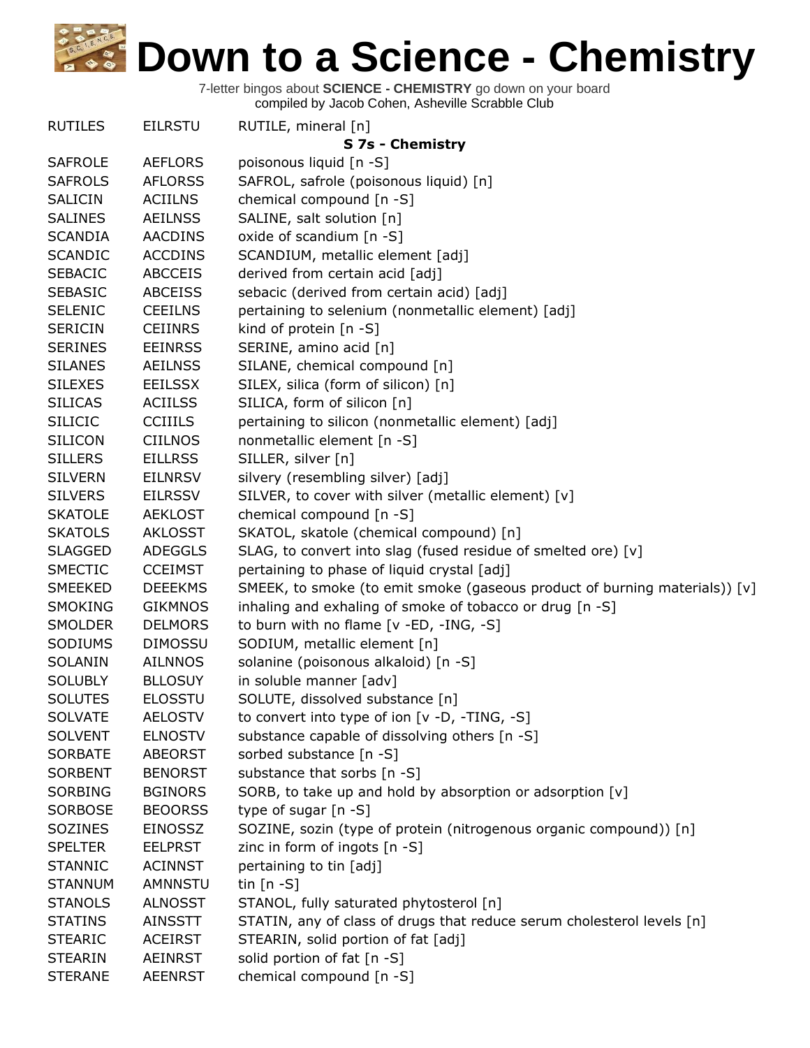| <b>RUTILES</b> | <b>EILRSTU</b> | RUTILE, mineral [n]                                                          |
|----------------|----------------|------------------------------------------------------------------------------|
|                |                | S 7s - Chemistry                                                             |
| <b>SAFROLE</b> | <b>AEFLORS</b> | poisonous liquid [n -S]                                                      |
| <b>SAFROLS</b> | <b>AFLORSS</b> | SAFROL, safrole (poisonous liquid) [n]                                       |
| SALICIN        | <b>ACIILNS</b> | chemical compound [n -S]                                                     |
| <b>SALINES</b> | <b>AEILNSS</b> | SALINE, salt solution [n]                                                    |
| <b>SCANDIA</b> | <b>AACDINS</b> | oxide of scandium [n -S]                                                     |
| <b>SCANDIC</b> | <b>ACCDINS</b> | SCANDIUM, metallic element [adj]                                             |
| <b>SEBACIC</b> | <b>ABCCEIS</b> | derived from certain acid [adj]                                              |
| <b>SEBASIC</b> | <b>ABCEISS</b> | sebacic (derived from certain acid) [adj]                                    |
| <b>SELENIC</b> | <b>CEEILNS</b> | pertaining to selenium (nonmetallic element) [adj]                           |
| <b>SERICIN</b> | <b>CEIINRS</b> | kind of protein [n -S]                                                       |
| <b>SERINES</b> | <b>EEINRSS</b> | SERINE, amino acid [n]                                                       |
| <b>SILANES</b> | <b>AEILNSS</b> | SILANE, chemical compound [n]                                                |
| <b>SILEXES</b> | <b>EEILSSX</b> | SILEX, silica (form of silicon) [n]                                          |
| <b>SILICAS</b> | <b>ACIILSS</b> | SILICA, form of silicon [n]                                                  |
| <b>SILICIC</b> | <b>CCIIILS</b> | pertaining to silicon (nonmetallic element) [adj]                            |
| <b>SILICON</b> | CIILNOS        | nonmetallic element [n -S]                                                   |
| <b>SILLERS</b> | <b>EILLRSS</b> | SILLER, silver [n]                                                           |
| <b>SILVERN</b> | <b>EILNRSV</b> | silvery (resembling silver) [adj]                                            |
| <b>SILVERS</b> | <b>EILRSSV</b> | SILVER, to cover with silver (metallic element) [v]                          |
| <b>SKATOLE</b> | <b>AEKLOST</b> | chemical compound [n -S]                                                     |
| <b>SKATOLS</b> | <b>AKLOSST</b> | SKATOL, skatole (chemical compound) [n]                                      |
| <b>SLAGGED</b> | <b>ADEGGLS</b> | SLAG, to convert into slag (fused residue of smelted ore) [v]                |
| <b>SMECTIC</b> | <b>CCEIMST</b> | pertaining to phase of liquid crystal [adj]                                  |
| <b>SMEEKED</b> | <b>DEEEKMS</b> | SMEEK, to smoke (to emit smoke (gaseous product of burning materials)) $[v]$ |
| SMOKING        | <b>GIKMNOS</b> | inhaling and exhaling of smoke of tobacco or drug [n -S]                     |
| <b>SMOLDER</b> | <b>DELMORS</b> | to burn with no flame [v -ED, -ING, -S]                                      |
| SODIUMS        | <b>DIMOSSU</b> | SODIUM, metallic element [n]                                                 |
| SOLANIN        | <b>AILNNOS</b> | solanine (poisonous alkaloid) [n -S]                                         |
| <b>SOLUBLY</b> | <b>BLLOSUY</b> | in soluble manner [adv]                                                      |
| <b>SOLUTES</b> | <b>ELOSSTU</b> | SOLUTE, dissolved substance [n]                                              |
| <b>SOLVATE</b> | <b>AELOSTV</b> | to convert into type of ion [v -D, -TING, -S]                                |
| <b>SOLVENT</b> | <b>ELNOSTV</b> | substance capable of dissolving others [n -S]                                |
| <b>SORBATE</b> | <b>ABEORST</b> | sorbed substance [n -S]                                                      |
| SORBENT        | <b>BENORST</b> | substance that sorbs [n -S]                                                  |
| <b>SORBING</b> | <b>BGINORS</b> | SORB, to take up and hold by absorption or adsorption [v]                    |
| SORBOSE        | <b>BEOORSS</b> | type of sugar $[n - S]$                                                      |
| <b>SOZINES</b> | <b>EINOSSZ</b> | SOZINE, sozin (type of protein (nitrogenous organic compound)) [n]           |
| <b>SPELTER</b> | <b>EELPRST</b> | zinc in form of ingots [n -S]                                                |
| <b>STANNIC</b> | <b>ACINNST</b> | pertaining to tin [adj]                                                      |
| <b>STANNUM</b> | <b>AMNNSTU</b> | tin $[n - S]$                                                                |
| <b>STANOLS</b> | <b>ALNOSST</b> | STANOL, fully saturated phytosterol [n]                                      |
| <b>STATINS</b> | AINSSTT        | STATIN, any of class of drugs that reduce serum cholesterol levels [n]       |
| <b>STEARIC</b> | <b>ACEIRST</b> | STEARIN, solid portion of fat [adj]                                          |
| <b>STEARIN</b> | AEINRST        | solid portion of fat [n -S]                                                  |
| <b>STERANE</b> | <b>AEENRST</b> | chemical compound [n -S]                                                     |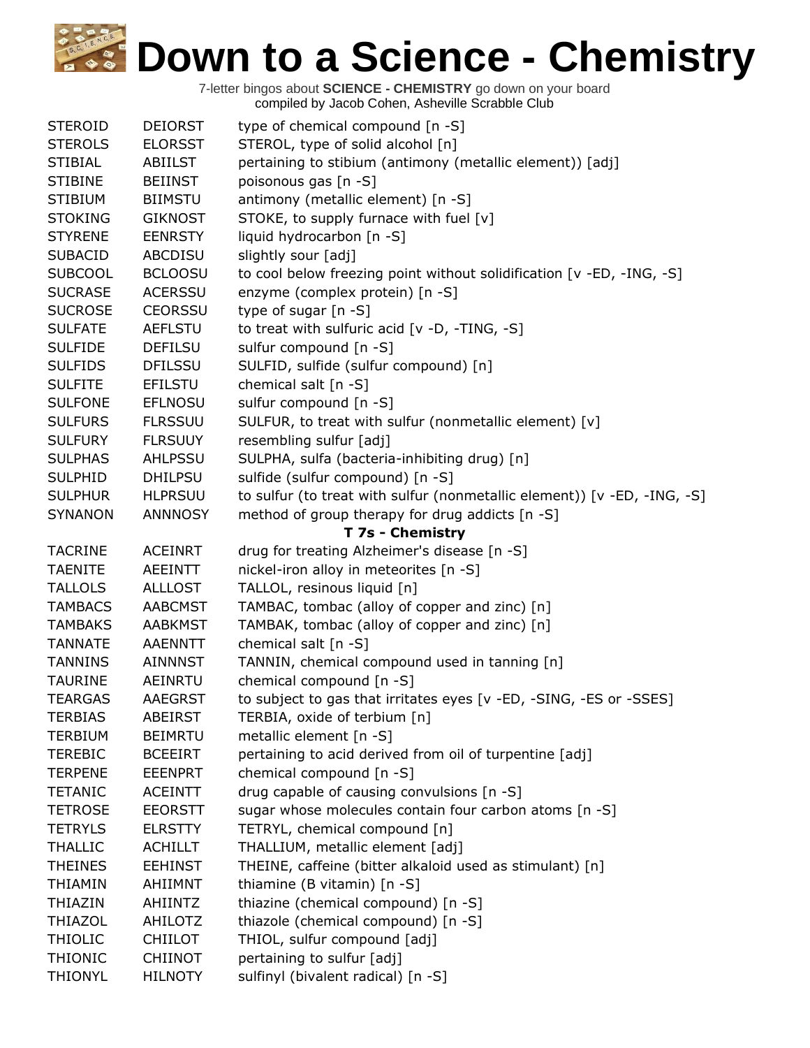| <b>STEROID</b> | <b>DEIORST</b> | type of chemical compound [n -S]                                         |
|----------------|----------------|--------------------------------------------------------------------------|
| <b>STEROLS</b> | <b>ELORSST</b> | STEROL, type of solid alcohol [n]                                        |
| <b>STIBIAL</b> | <b>ABIILST</b> | pertaining to stibium (antimony (metallic element)) [adj]                |
| <b>STIBINE</b> | <b>BEIINST</b> | poisonous gas [n -S]                                                     |
| <b>STIBIUM</b> | <b>BIIMSTU</b> | antimony (metallic element) [n -S]                                       |
| <b>STOKING</b> | <b>GIKNOST</b> | STOKE, to supply furnace with fuel [v]                                   |
| <b>STYRENE</b> | <b>EENRSTY</b> | liquid hydrocarbon [n -S]                                                |
| <b>SUBACID</b> | <b>ABCDISU</b> | slightly sour [adj]                                                      |
| <b>SUBCOOL</b> | <b>BCLOOSU</b> | to cool below freezing point without solidification [v -ED, -ING, -S]    |
| <b>SUCRASE</b> | <b>ACERSSU</b> | enzyme (complex protein) [n -S]                                          |
| <b>SUCROSE</b> | <b>CEORSSU</b> | type of sugar [n -S]                                                     |
| <b>SULFATE</b> | <b>AEFLSTU</b> | to treat with sulfuric acid [v -D, -TING, -S]                            |
| <b>SULFIDE</b> | <b>DEFILSU</b> | sulfur compound [n -S]                                                   |
| <b>SULFIDS</b> | <b>DFILSSU</b> | SULFID, sulfide (sulfur compound) [n]                                    |
| <b>SULFITE</b> | <b>EFILSTU</b> | chemical salt $[n -S]$                                                   |
| <b>SULFONE</b> | <b>EFLNOSU</b> | sulfur compound [n -S]                                                   |
| <b>SULFURS</b> | <b>FLRSSUU</b> | SULFUR, to treat with sulfur (nonmetallic element) [v]                   |
| <b>SULFURY</b> | <b>FLRSUUY</b> | resembling sulfur [adj]                                                  |
| <b>SULPHAS</b> | AHLPSSU        | SULPHA, sulfa (bacteria-inhibiting drug) [n]                             |
| <b>SULPHID</b> | <b>DHILPSU</b> | sulfide (sulfur compound) [n -S]                                         |
| <b>SULPHUR</b> | <b>HLPRSUU</b> | to sulfur (to treat with sulfur (nonmetallic element)) [v -ED, -ING, -S] |
| <b>SYNANON</b> | <b>ANNNOSY</b> | method of group therapy for drug addicts [n -S]                          |
|                |                | T 7s - Chemistry                                                         |
| <b>TACRINE</b> | <b>ACEINRT</b> | drug for treating Alzheimer's disease [n -S]                             |
| <b>TAENITE</b> | <b>AEEINTT</b> | nickel-iron alloy in meteorites [n -S]                                   |
| <b>TALLOLS</b> | <b>ALLLOST</b> | TALLOL, resinous liquid [n]                                              |
| <b>TAMBACS</b> | <b>AABCMST</b> | TAMBAC, tombac (alloy of copper and zinc) [n]                            |
| <b>TAMBAKS</b> | <b>AABKMST</b> | TAMBAK, tombac (alloy of copper and zinc) [n]                            |
| <b>TANNATE</b> | <b>AAENNTT</b> | chemical salt [n -S]                                                     |
| <b>TANNINS</b> | <b>AINNNST</b> | TANNIN, chemical compound used in tanning [n]                            |
| <b>TAURINE</b> | AEINRTU        | chemical compound [n -S]                                                 |
| <b>TEARGAS</b> | <b>AAEGRST</b> | to subject to gas that irritates eyes [v -ED, -SING, -ES or -SSES]       |
| <b>TERBIAS</b> | <b>ABEIRST</b> | TERBIA, oxide of terbium [n]                                             |
| <b>TERBIUM</b> | <b>BEIMRTU</b> | metallic element [n -S]                                                  |
| <b>TEREBIC</b> | <b>BCEEIRT</b> | pertaining to acid derived from oil of turpentine [adj]                  |
| <b>TERPENE</b> | <b>EEENPRT</b> | chemical compound [n -S]                                                 |
| <b>TETANIC</b> | <b>ACEINTT</b> | drug capable of causing convulsions [n -S]                               |
| <b>TETROSE</b> | <b>EEORSTT</b> | sugar whose molecules contain four carbon atoms [n -S]                   |
| <b>TETRYLS</b> | <b>ELRSTTY</b> | TETRYL, chemical compound [n]                                            |
| <b>THALLIC</b> | <b>ACHILLT</b> | THALLIUM, metallic element [adj]                                         |
| <b>THEINES</b> | <b>EEHINST</b> | THEINE, caffeine (bitter alkaloid used as stimulant) [n]                 |
| <b>THIAMIN</b> | AHIIMNT        | thiamine (B vitamin) [n -S]                                              |
| <b>THIAZIN</b> | AHIINTZ        | thiazine (chemical compound) [n -S]                                      |
| <b>THIAZOL</b> | AHILOTZ        | thiazole (chemical compound) [n -S]                                      |
| <b>THIOLIC</b> | <b>CHIILOT</b> | THIOL, sulfur compound [adj]                                             |
| <b>THIONIC</b> | <b>CHIINOT</b> | pertaining to sulfur [adj]                                               |
| <b>THIONYL</b> | <b>HILNOTY</b> | sulfinyl (bivalent radical) [n -S]                                       |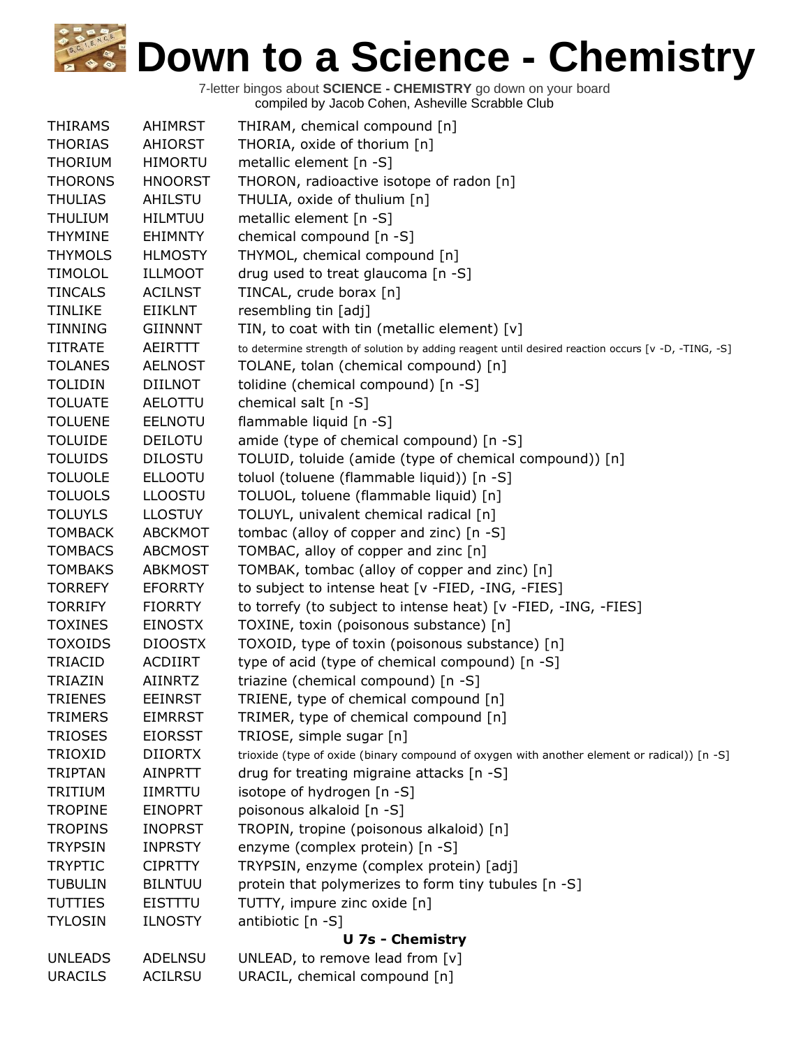| <b>THIRAMS</b>          | <b>AHIMRST</b> | THIRAM, chemical compound [n]                                                                       |
|-------------------------|----------------|-----------------------------------------------------------------------------------------------------|
| <b>THORIAS</b>          | AHIORST        | THORIA, oxide of thorium [n]                                                                        |
| <b>THORIUM</b>          | <b>HIMORTU</b> | metallic element [n -S]                                                                             |
| <b>THORONS</b>          | <b>HNOORST</b> | THORON, radioactive isotope of radon [n]                                                            |
| <b>THULIAS</b>          | AHILSTU        | THULIA, oxide of thulium [n]                                                                        |
| <b>THULIUM</b>          | <b>HILMTUU</b> | metallic element [n -S]                                                                             |
| <b>THYMINE</b>          | <b>EHIMNTY</b> | chemical compound [n -S]                                                                            |
| <b>THYMOLS</b>          | <b>HLMOSTY</b> | THYMOL, chemical compound [n]                                                                       |
| <b>TIMOLOL</b>          | <b>ILLMOOT</b> | drug used to treat glaucoma [n -S]                                                                  |
| <b>TINCALS</b>          | <b>ACILNST</b> | TINCAL, crude borax [n]                                                                             |
| <b>TINLIKE</b>          | EIIKLNT        | resembling tin [adj]                                                                                |
| <b>TINNING</b>          | <b>GIINNNT</b> | TIN, to coat with tin (metallic element) $[v]$                                                      |
| <b>TITRATE</b>          | AEIRTTT        | to determine strength of solution by adding reagent until desired reaction occurs [v -D, -TING, -S] |
| <b>TOLANES</b>          | <b>AELNOST</b> | TOLANE, tolan (chemical compound) [n]                                                               |
| <b>TOLIDIN</b>          | <b>DIILNOT</b> | tolidine (chemical compound) [n -S]                                                                 |
| <b>TOLUATE</b>          | AELOTTU        | chemical salt [n -S]                                                                                |
| <b>TOLUENE</b>          | <b>EELNOTU</b> | flammable liquid [n -S]                                                                             |
| <b>TOLUIDE</b>          | <b>DEILOTU</b> | amide (type of chemical compound) [n -S]                                                            |
| <b>TOLUIDS</b>          | <b>DILOSTU</b> | TOLUID, toluide (amide (type of chemical compound)) [n]                                             |
| <b>TOLUOLE</b>          | <b>ELLOOTU</b> | toluol (toluene (flammable liquid)) [n -S]                                                          |
| <b>TOLUOLS</b>          | <b>LLOOSTU</b> | TOLUOL, toluene (flammable liquid) [n]                                                              |
| <b>TOLUYLS</b>          | <b>LLOSTUY</b> | TOLUYL, univalent chemical radical [n]                                                              |
| <b>TOMBACK</b>          | <b>ABCKMOT</b> | tombac (alloy of copper and zinc) [n -S]                                                            |
| <b>TOMBACS</b>          | <b>ABCMOST</b> | TOMBAC, alloy of copper and zinc [n]                                                                |
| <b>TOMBAKS</b>          | <b>ABKMOST</b> | TOMBAK, tombac (alloy of copper and zinc) [n]                                                       |
| <b>TORREFY</b>          | <b>EFORRTY</b> | to subject to intense heat [v -FIED, -ING, -FIES]                                                   |
| <b>TORRIFY</b>          | <b>FIORRTY</b> | to torrefy (to subject to intense heat) [v -FIED, -ING, -FIES]                                      |
| <b>TOXINES</b>          | <b>EINOSTX</b> | TOXINE, toxin (poisonous substance) [n]                                                             |
| <b>TOXOIDS</b>          | <b>DIOOSTX</b> | TOXOID, type of toxin (poisonous substance) [n]                                                     |
| TRIACID                 | ACDIIRT        | type of acid (type of chemical compound) [n -S]                                                     |
| TRIAZIN                 | <b>AIINRTZ</b> | triazine (chemical compound) [n -S]                                                                 |
| <b>TRIENES</b>          | <b>EEINRST</b> | TRIENE, type of chemical compound [n]                                                               |
| <b>TRIMERS</b>          | <b>EIMRRST</b> | TRIMER, type of chemical compound [n]                                                               |
| <b>TRIOSES</b>          | <b>EIORSST</b> | TRIOSE, simple sugar [n]                                                                            |
| <b>TRIOXID</b>          | <b>DIIORTX</b> | trioxide (type of oxide (binary compound of oxygen with another element or radical)) [n -S]         |
| <b>TRIPTAN</b>          | <b>AINPRTT</b> | drug for treating migraine attacks [n -S]                                                           |
| TRITIUM                 | <b>IIMRTTU</b> | isotope of hydrogen [n -S]                                                                          |
| <b>TROPINE</b>          | <b>EINOPRT</b> | poisonous alkaloid [n -S]                                                                           |
| <b>TROPINS</b>          | <b>INOPRST</b> | TROPIN, tropine (poisonous alkaloid) [n]                                                            |
| <b>TRYPSIN</b>          | <b>INPRSTY</b> | enzyme (complex protein) [n -S]                                                                     |
| <b>TRYPTIC</b>          | <b>CIPRTTY</b> | TRYPSIN, enzyme (complex protein) [adj]                                                             |
| <b>TUBULIN</b>          | <b>BILNTUU</b> | protein that polymerizes to form tiny tubules [n -S]                                                |
| <b>TUTTIES</b>          | <b>EISTTTU</b> | TUTTY, impure zinc oxide [n]                                                                        |
| <b>TYLOSIN</b>          | <b>ILNOSTY</b> | antibiotic [n -S]                                                                                   |
| <b>U 7s - Chemistry</b> |                |                                                                                                     |
| <b>UNLEADS</b>          | ADELNSU        | UNLEAD, to remove lead from [v]                                                                     |
| <b>URACILS</b>          | ACILRSU        | URACIL, chemical compound [n]                                                                       |